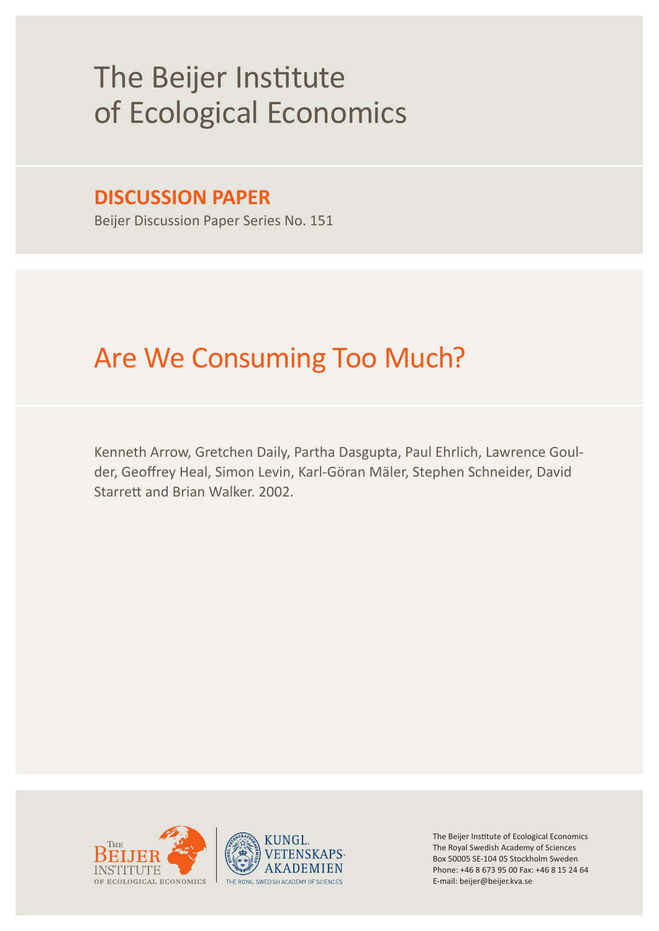# The Beijer Institute of Ecological Economics

# **DISCUSSION PAPER**

Beijer Discussion Paper Series No. 151

# Are We Consuming Too Much?

Kenneth Arrow, Gretchen Daily, Partha Dasgupta, Paul Ehrlich, Lawrence Goulder, Geoffrey Heal, Simon Levin, Karl-Göran Mäler, Stephen Schneider, David Starrett and Brian Walker. 2002.





The Beijer Institute of Ecological Economics The Royal Swedish Academy of Sciences Box 50005 SE-104 05 Stockholm Sweden Phone: +46 8 673 95 00 Fax: +46 8 15 24 64 E-mail: beijer@beijer.kva.se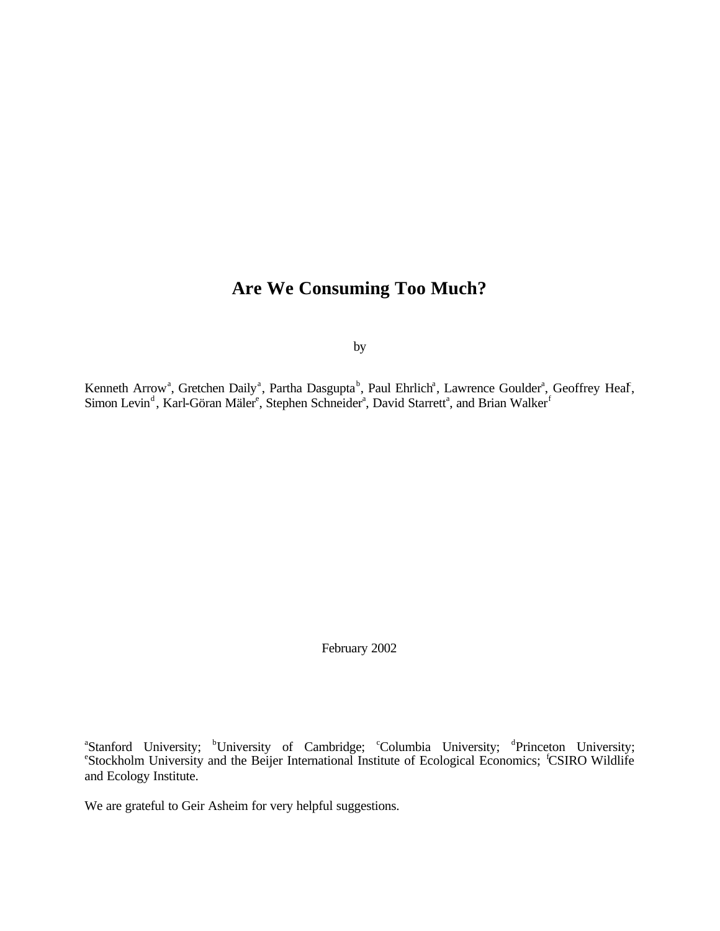# **Are We Consuming Too Much?**

by

Kenneth Arrow<sup>a</sup>, Gretchen Daily<sup>a</sup>, Partha Dasgupta<sup>b</sup>, Paul Ehrlich<sup>a</sup>, Lawrence Goulder<sup>a</sup>, Geoffrey Heaf, Simon Levin<sup>d</sup>, Karl-Göran Mäler<sup>e</sup>, Stephen Schneider<sup>a</sup>, David Starrett<sup>a</sup>, and Brian Walker<sup>f</sup>

February 2002

<sup>a</sup>Stanford University; <sup>b</sup>University of Cambridge; <sup>c</sup>Columbia University; <sup>d</sup>Princeton University; <sup>e</sup>Stockholm University and the Beijer International Institute of Ecological Economics; <sup>f</sup>CSIRO Wildlife and Ecology Institute.

We are grateful to Geir Asheim for very helpful suggestions.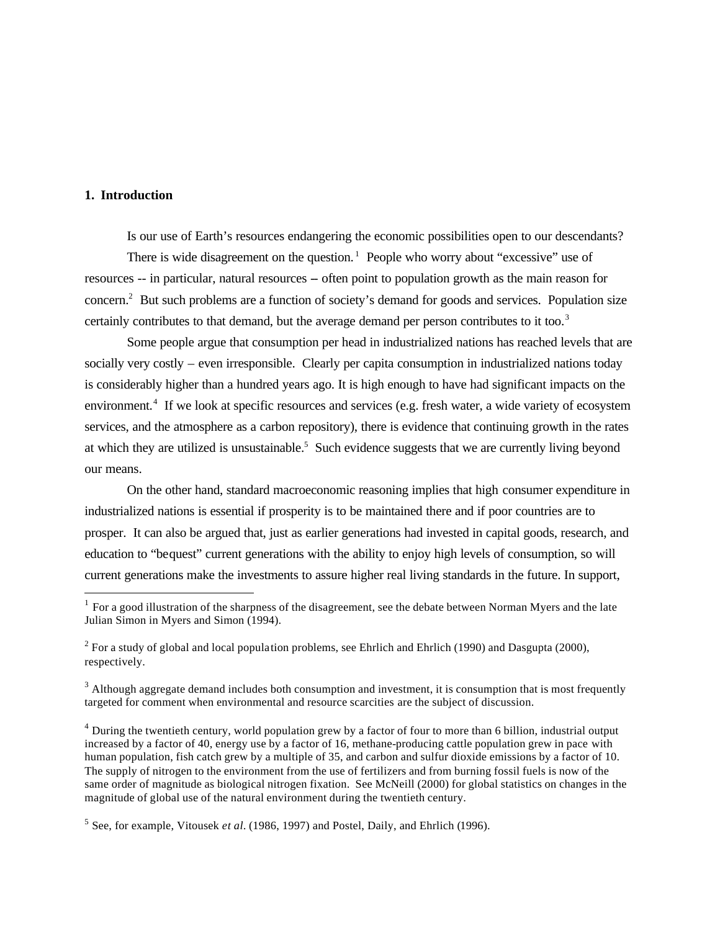# **1. Introduction**

 $\overline{a}$ 

Is our use of Earth's resources endangering the economic possibilities open to our descendants?

There is wide disagreement on the question.<sup>1</sup> People who worry about "excessive" use of resources -- in particular, natural resources -- often point to population growth as the main reason for concern.<sup>2</sup> But such problems are a function of society's demand for goods and services. Population size certainly contributes to that demand, but the average demand per person contributes to it too.<sup>3</sup>

Some people argue that consumption per head in industrialized nations has reached levels that are socially very costly – even irresponsible. Clearly per capita consumption in industrialized nations today is considerably higher than a hundred years ago. It is high enough to have had significant impacts on the environment.<sup>4</sup> If we look at specific resources and services (e.g. fresh water, a wide variety of ecosystem services, and the atmosphere as a carbon repository), there is evidence that continuing growth in the rates at which they are utilized is unsustainable.<sup>5</sup> Such evidence suggests that we are currently living beyond our means.

On the other hand, standard macroeconomic reasoning implies that high consumer expenditure in industrialized nations is essential if prosperity is to be maintained there and if poor countries are to prosper. It can also be argued that, just as earlier generations had invested in capital goods, research, and education to "bequest" current generations with the ability to enjoy high levels of consumption, so will current generations make the investments to assure higher real living standards in the future. In support,

 $<sup>1</sup>$  For a good illustration of the sharpness of the disagreement, see the debate between Norman Myers and the late</sup> Julian Simon in Myers and Simon (1994).

<sup>&</sup>lt;sup>2</sup> For a study of global and local population problems, see Ehrlich and Ehrlich (1990) and Dasgupta (2000), respectively.

 $3$  Although aggregate demand includes both consumption and investment, it is consumption that is most frequently targeted for comment when environmental and resource scarcities are the subject of discussion.

<sup>&</sup>lt;sup>4</sup> During the twentieth century, world population grew by a factor of four to more than 6 billion, industrial output increased by a factor of 40, energy use by a factor of 16, methane-producing cattle population grew in pace with human population, fish catch grew by a multiple of 35, and carbon and sulfur dioxide emissions by a factor of 10. The supply of nitrogen to the environment from the use of fertilizers and from burning fossil fuels is now of the same order of magnitude as biological nitrogen fixation. See McNeill (2000) for global statistics on changes in the magnitude of global use of the natural environment during the twentieth century.

<sup>&</sup>lt;sup>5</sup> See, for example, Vitousek *et al.* (1986, 1997) and Postel, Daily, and Ehrlich (1996).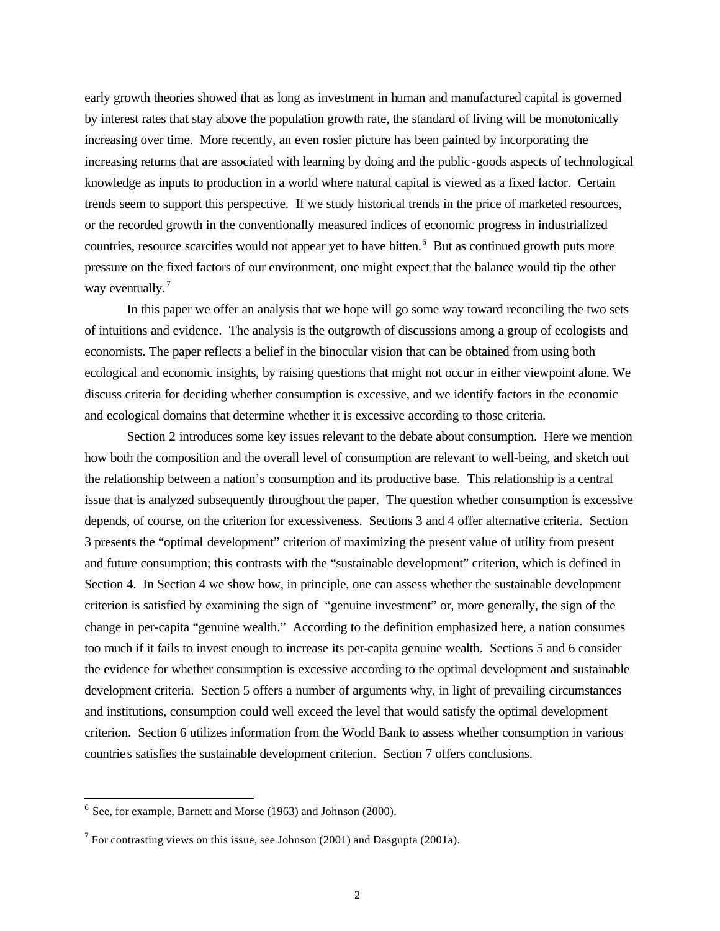early growth theories showed that as long as investment in human and manufactured capital is governed by interest rates that stay above the population growth rate, the standard of living will be monotonically increasing over time. More recently, an even rosier picture has been painted by incorporating the increasing returns that are associated with learning by doing and the public -goods aspects of technological knowledge as inputs to production in a world where natural capital is viewed as a fixed factor. Certain trends seem to support this perspective. If we study historical trends in the price of marketed resources, or the recorded growth in the conventionally measured indices of economic progress in industrialized countries, resource scarcities would not appear yet to have bitten.<sup>6</sup> But as continued growth puts more pressure on the fixed factors of our environment, one might expect that the balance would tip the other way eventually.<sup>7</sup>

In this paper we offer an analysis that we hope will go some way toward reconciling the two sets of intuitions and evidence. The analysis is the outgrowth of discussions among a group of ecologists and economists. The paper reflects a belief in the binocular vision that can be obtained from using both ecological and economic insights, by raising questions that might not occur in either viewpoint alone. We discuss criteria for deciding whether consumption is excessive, and we identify factors in the economic and ecological domains that determine whether it is excessive according to those criteria.

Section 2 introduces some key issues relevant to the debate about consumption. Here we mention how both the composition and the overall level of consumption are relevant to well-being, and sketch out the relationship between a nation's consumption and its productive base. This relationship is a central issue that is analyzed subsequently throughout the paper. The question whether consumption is excessive depends, of course, on the criterion for excessiveness. Sections 3 and 4 offer alternative criteria. Section 3 presents the "optimal development" criterion of maximizing the present value of utility from present and future consumption; this contrasts with the "sustainable development" criterion, which is defined in Section 4. In Section 4 we show how, in principle, one can assess whether the sustainable development criterion is satisfied by examining the sign of "genuine investment" or, more generally, the sign of the change in per-capita "genuine wealth." According to the definition emphasized here, a nation consumes too much if it fails to invest enough to increase its per-capita genuine wealth. Sections 5 and 6 consider the evidence for whether consumption is excessive according to the optimal development and sustainable development criteria. Section 5 offers a number of arguments why, in light of prevailing circumstances and institutions, consumption could well exceed the level that would satisfy the optimal development criterion. Section 6 utilizes information from the World Bank to assess whether consumption in various countries satisfies the sustainable development criterion. Section 7 offers conclusions.

 $6$  See, for example, Barnett and Morse (1963) and Johnson (2000).

<sup>&</sup>lt;sup>7</sup> For contrasting views on this issue, see Johnson (2001) and Dasgupta (2001a).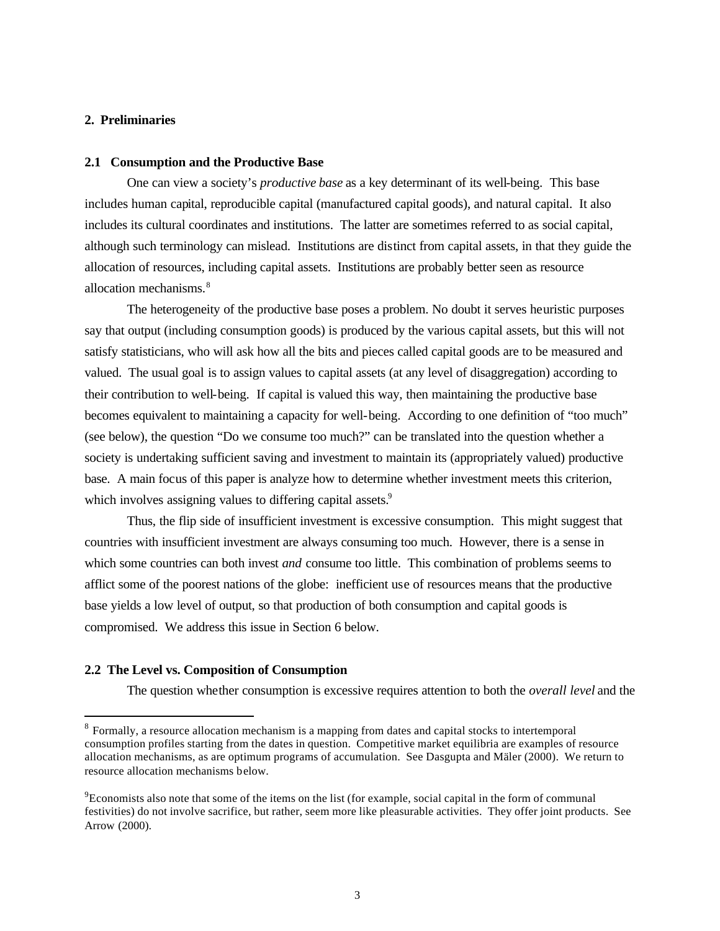## **2. Preliminaries**

## **2.1 Consumption and the Productive Base**

One can view a society's *productive base* as a key determinant of its well-being. This base includes human capital, reproducible capital (manufactured capital goods), and natural capital. It also includes its cultural coordinates and institutions. The latter are sometimes referred to as social capital, although such terminology can mislead. Institutions are distinct from capital assets, in that they guide the allocation of resources, including capital assets. Institutions are probably better seen as resource allocation mechanisms.<sup>8</sup>

The heterogeneity of the productive base poses a problem. No doubt it serves heuristic purposes say that output (including consumption goods) is produced by the various capital assets, but this will not satisfy statisticians, who will ask how all the bits and pieces called capital goods are to be measured and valued. The usual goal is to assign values to capital assets (at any level of disaggregation) according to their contribution to well-being. If capital is valued this way, then maintaining the productive base becomes equivalent to maintaining a capacity for well-being. According to one definition of "too much" (see below), the question "Do we consume too much?" can be translated into the question whether a society is undertaking sufficient saving and investment to maintain its (appropriately valued) productive base. A main focus of this paper is analyze how to determine whether investment meets this criterion, which involves assigning values to differing capital assets.<sup>9</sup>

Thus, the flip side of insufficient investment is excessive consumption. This might suggest that countries with insufficient investment are always consuming too much. However, there is a sense in which some countries can both invest *and* consume too little. This combination of problems seems to afflict some of the poorest nations of the globe: inefficient use of resources means that the productive base yields a low level of output, so that production of both consumption and capital goods is compromised. We address this issue in Section 6 below.

## **2.2 The Level vs. Composition of Consumption**

 $\overline{a}$ 

The question whether consumption is excessive requires attention to both the *overall level* and the

<sup>&</sup>lt;sup>8</sup> Formally, a resource allocation mechanism is a mapping from dates and capital stocks to intertemporal consumption profiles starting from the dates in question. Competitive market equilibria are examples of resource allocation mechanisms, as are optimum programs of accumulation. See Dasgupta and Mäler (2000). We return to resource allocation mechanisms below.

<sup>&</sup>lt;sup>9</sup>Economists also note that some of the items on the list (for example, social capital in the form of communal festivities) do not involve sacrifice, but rather, seem more like pleasurable activities. They offer joint products. See Arrow (2000).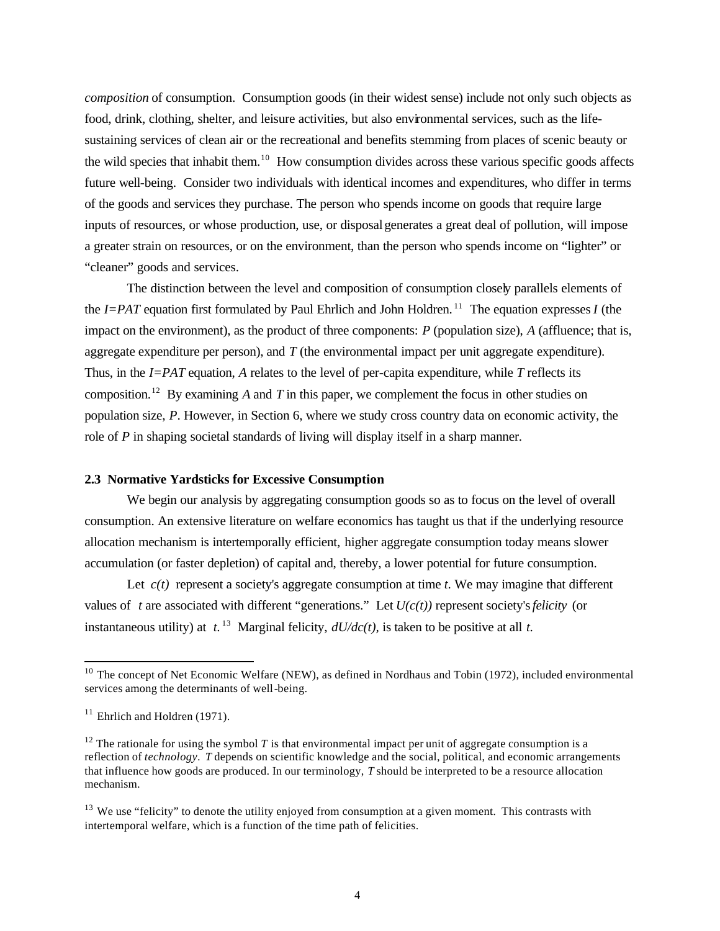*composition* of consumption. Consumption goods (in their widest sense) include not only such objects as food, drink, clothing, shelter, and leisure activities, but also environmental services, such as the lifesustaining services of clean air or the recreational and benefits stemming from places of scenic beauty or the wild species that inhabit them.<sup>10</sup> How consumption divides across these various specific goods affects future well-being. Consider two individuals with identical incomes and expenditures, who differ in terms of the goods and services they purchase. The person who spends income on goods that require large inputs of resources, or whose production, use, or disposal generates a great deal of pollution, will impose a greater strain on resources, or on the environment, than the person who spends income on "lighter" or "cleaner" goods and services.

The distinction between the level and composition of consumption closely parallels elements of the  $I=PAT$  equation first formulated by Paul Ehrlich and John Holdren.<sup>11</sup> The equation expresses *I* (the impact on the environment), as the product of three components: *P* (population size), *A* (affluence; that is, aggregate expenditure per person), and *T* (the environmental impact per unit aggregate expenditure). Thus, in the *I=PAT* equation, *A* relates to the level of per-capita expenditure, while *T* reflects its composition.<sup>12</sup> By examining *A* and *T* in this paper, we complement the focus in other studies on population size, *P*. However, in Section 6, where we study cross country data on economic activity, the role of *P* in shaping societal standards of living will display itself in a sharp manner.

# **2.3 Normative Yardsticks for Excessive Consumption**

We begin our analysis by aggregating consumption goods so as to focus on the level of overall consumption. An extensive literature on welfare economics has taught us that if the underlying resource allocation mechanism is intertemporally efficient, higher aggregate consumption today means slower accumulation (or faster depletion) of capital and, thereby, a lower potential for future consumption.

Let  $c(t)$  represent a society's aggregate consumption at time  $t$ . We may imagine that different values of *t* are associated with different "generations." Let  $U(c(t))$  represent society's *felicity* (or instantaneous utility) at  $t^{13}$  Marginal felicity,  $dU/dc(t)$ , is taken to be positive at all  $t$ .

<sup>&</sup>lt;sup>10</sup> The concept of Net Economic Welfare (NEW), as defined in Nordhaus and Tobin (1972), included environmental services among the determinants of well-being.

 $11$  Ehrlich and Holdren (1971).

<sup>&</sup>lt;sup>12</sup> The rationale for using the symbol *T* is that environmental impact per unit of aggregate consumption is a reflection of *technology*. *T* depends on scientific knowledge and the social, political, and economic arrangements that influence how goods are produced. In our terminology, *T* should be interpreted to be a resource allocation mechanism.

 $13$  We use "felicity" to denote the utility enjoyed from consumption at a given moment. This contrasts with intertemporal welfare, which is a function of the time path of felicities.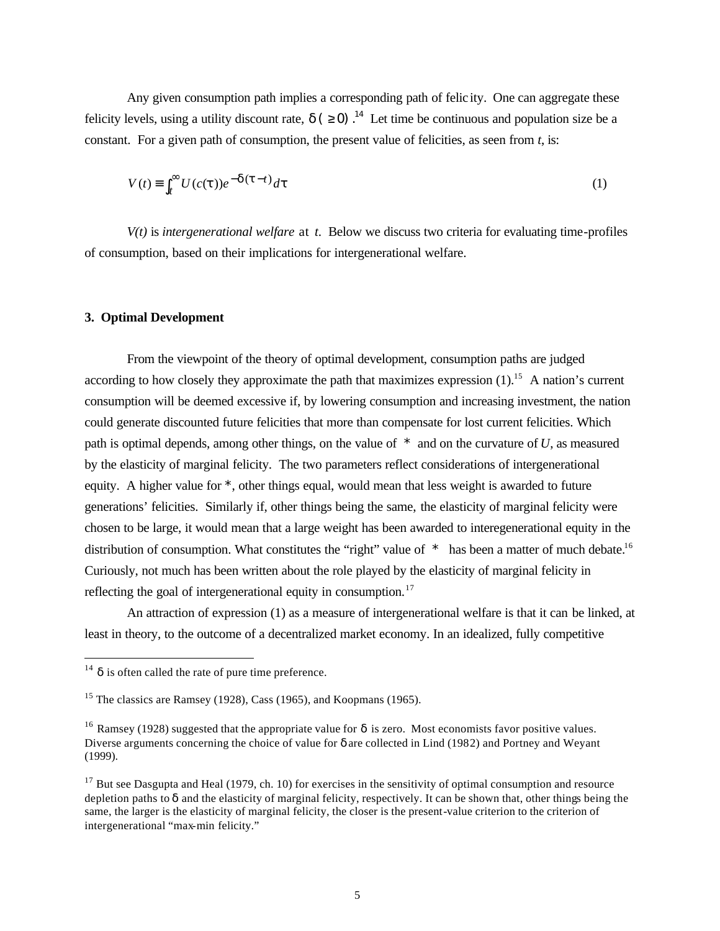Any given consumption path implies a corresponding path of felic ity. One can aggregate these felicity levels, using a utility discount rate,  $d$  ( $\geq 0$ ).<sup>14</sup> Let time be continuous and population size be a constant. For a given path of consumption, the present value of felicities, as seen from *t*, is:

$$
V(t) \equiv \int_{t}^{\infty} U(c(t))e^{-d(t-t)}dt
$$
 (1)

*V(t)* is *intergenerational welfare* at *t*. Below we discuss two criteria for evaluating time-profiles of consumption, based on their implications for intergenerational welfare.

# **3. Optimal Development**

From the viewpoint of the theory of optimal development, consumption paths are judged according to how closely they approximate the path that maximizes expression  $(1)$ <sup>15</sup> A nation's current consumption will be deemed excessive if, by lowering consumption and increasing investment, the nation could generate discounted future felicities that more than compensate for lost current felicities. Which path is optimal depends, among other things, on the value of *\** and on the curvature of *U*, as measured by the elasticity of marginal felicity. The two parameters reflect considerations of intergenerational equity. A higher value for *\**, other things equal, would mean that less weight is awarded to future generations' felicities. Similarly if, other things being the same, the elasticity of marginal felicity were chosen to be large, it would mean that a large weight has been awarded to interegenerational equity in the distribution of consumption. What constitutes the "right" value of *\** has been a matter of much debate.<sup>16</sup> Curiously, not much has been written about the role played by the elasticity of marginal felicity in reflecting the goal of intergenerational equity in consumption.<sup>17</sup>

An attraction of expression (1) as a measure of intergenerational welfare is that it can be linked, at least in theory, to the outcome of a decentralized market economy. In an idealized, fully competitive

<sup>&</sup>lt;sup>14</sup> *d* is often called the rate of pure time preference.

<sup>&</sup>lt;sup>15</sup> The classics are Ramsey (1928), Cass (1965), and Koopmans (1965).

<sup>&</sup>lt;sup>16</sup> Ramsey (1928) suggested that the appropriate value for *d* is zero. Most economists favor positive values. Diverse arguments concerning the choice of value for *d* are collected in Lind (1982) and Portney and Weyant (1999).

 $17$  But see Dasgupta and Heal (1979, ch. 10) for exercises in the sensitivity of optimal consumption and resource depletion paths to *d* and the elasticity of marginal felicity, respectively. It can be shown that, other things being the same, the larger is the elasticity of marginal felicity, the closer is the present-value criterion to the criterion of intergenerational "max-min felicity."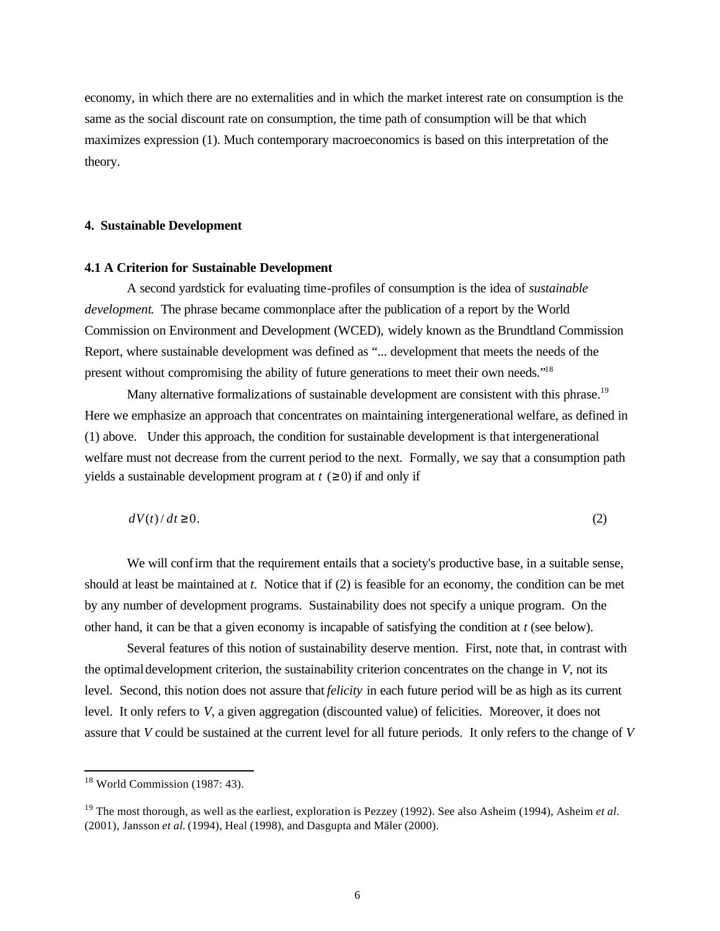economy, in which there are no externalities and in which the market interest rate on consumption is the same as the social discount rate on consumption, the time path of consumption will be that which maximizes expression (1). Much contemporary macroeconomics is based on this interpretation of the theory.

# **4. Sustainable Development**

# **4.1 A Criterion for Sustainable Development**

A second yardstick for evaluating time-profiles of consumption is the idea of *sustainable development*. The phrase became commonplace after the publication of a report by the World Commission on Environment and Development (WCED), widely known as the Brundtland Commission Report, where sustainable development was defined as "... development that meets the needs of the present without compromising the ability of future generations to meet their own needs."<sup>18</sup>

Many alternative formalizations of sustainable development are consistent with this phrase.<sup>19</sup> Here we emphasize an approach that concentrates on maintaining intergenerational welfare, as defined in (1) above. Under this approach, the condition for sustainable development is that intergenerational welfare must not decrease from the current period to the next. Formally, we say that a consumption path yields a sustainable development program at  $t \geq 0$ ) if and only if

$$
dV(t)/dt \ge 0. \tag{2}
$$

We will confirm that the requirement entails that a society's productive base, in a suitable sense, should at least be maintained at *t*. Notice that if (2) is feasible for an economy, the condition can be met by any number of development programs. Sustainability does not specify a unique program. On the other hand, it can be that a given economy is incapable of satisfying the condition at *t* (see below).

Several features of this notion of sustainability deserve mention. First, note that, in contrast with the optimal development criterion, the sustainability criterion concentrates on the change in *V*, not its level. Second, this notion does not assure that *felicity* in each future period will be as high as its current level. It only refers to *V*, a given aggregation (discounted value) of felicities. Moreover, it does not assure that *V* could be sustained at the current level for all future periods. It only refers to the change of *V*

 $18$  World Commission (1987: 43).

<sup>19</sup> The most thorough, as well as the earliest, exploration is Pezzey (1992). See also Asheim (1994), Asheim *et al.*  (2001), Jansson *et al.* (1994), Heal (1998), and Dasgupta and Mäler (2000).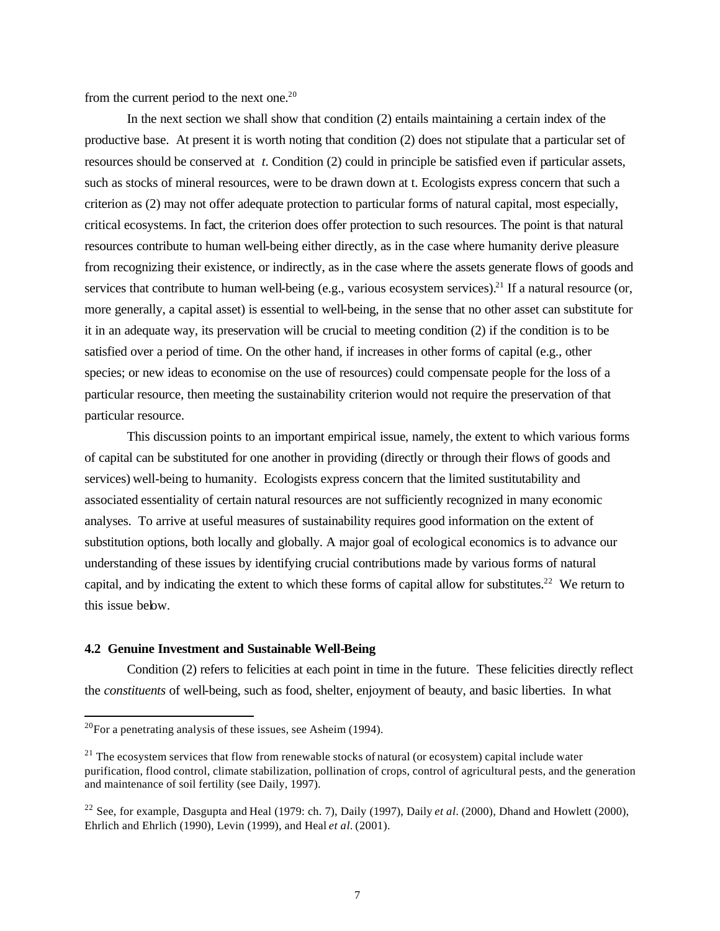from the current period to the next one.<sup>20</sup>

In the next section we shall show that condition (2) entails maintaining a certain index of the productive base. At present it is worth noting that condition (2) does not stipulate that a particular set of resources should be conserved at *t*. Condition (2) could in principle be satisfied even if particular assets, such as stocks of mineral resources, were to be drawn down at t. Ecologists express concern that such a criterion as (2) may not offer adequate protection to particular forms of natural capital, most especially, critical ecosystems. In fact, the criterion does offer protection to such resources. The point is that natural resources contribute to human well-being either directly, as in the case where humanity derive pleasure from recognizing their existence, or indirectly, as in the case where the assets generate flows of goods and services that contribute to human well-being (e.g., various ecosystem services).<sup>21</sup> If a natural resource (or, more generally, a capital asset) is essential to well-being, in the sense that no other asset can substitute for it in an adequate way, its preservation will be crucial to meeting condition (2) if the condition is to be satisfied over a period of time. On the other hand, if increases in other forms of capital (e.g., other species; or new ideas to economise on the use of resources) could compensate people for the loss of a particular resource, then meeting the sustainability criterion would not require the preservation of that particular resource.

This discussion points to an important empirical issue, namely, the extent to which various forms of capital can be substituted for one another in providing (directly or through their flows of goods and services) well-being to humanity. Ecologists express concern that the limited sustitutability and associated essentiality of certain natural resources are not sufficiently recognized in many economic analyses. To arrive at useful measures of sustainability requires good information on the extent of substitution options, both locally and globally. A major goal of ecological economics is to advance our understanding of these issues by identifying crucial contributions made by various forms of natural capital, and by indicating the extent to which these forms of capital allow for substitutes.<sup>22</sup> We return to this issue below.

#### **4.2 Genuine Investment and Sustainable Well-Being**

Condition (2) refers to felicities at each point in time in the future. These felicities directly reflect the *constituents* of well-being, such as food, shelter, enjoyment of beauty, and basic liberties. In what

 $^{20}$ For a penetrating analysis of these issues, see Asheim (1994).

 $21$  The ecosystem services that flow from renewable stocks of natural (or ecosystem) capital include water purification, flood control, climate stabilization, pollination of crops, control of agricultural pests, and the generation and maintenance of soil fertility (see Daily, 1997).

<sup>&</sup>lt;sup>22</sup> See, for example, Dasgupta and Heal (1979: ch. 7), Daily (1997), Daily *et al.* (2000), Dhand and Howlett (2000), Ehrlich and Ehrlich (1990), Levin (1999), and Heal *et al.* (2001).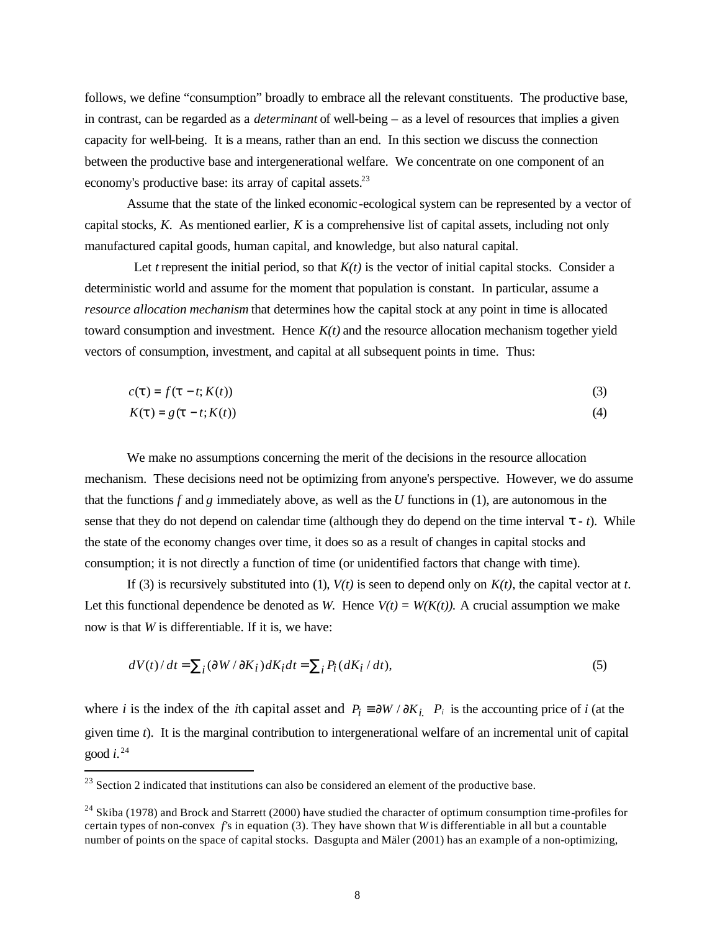follows, we define "consumption" broadly to embrace all the relevant constituents. The productive base, in contrast, can be regarded as a *determinant* of well-being – as a level of resources that implies a given capacity for well-being. It is a means, rather than an end. In this section we discuss the connection between the productive base and intergenerational welfare. We concentrate on one component of an economy's productive base: its array of capital assets.<sup>23</sup>

Assume that the state of the linked economic-ecological system can be represented by a vector of capital stocks, *K*. As mentioned earlier, *K* is a comprehensive list of capital assets, including not only manufactured capital goods, human capital, and knowledge, but also natural capital.

Let *t* represent the initial period, so that  $K(t)$  is the vector of initial capital stocks. Consider a deterministic world and assume for the moment that population is constant. In particular, assume a *resource allocation mechanism* that determines how the capital stock at any point in time is allocated toward consumption and investment. Hence *K(t)* and the resource allocation mechanism together yield vectors of consumption, investment, and capital at all subsequent points in time. Thus:

$$
c(\mathbf{t}) = f(\mathbf{t} - t; K(t))
$$
\n(3)

$$
K(t) = g(t - t; K(t))
$$
\n<sup>(4)</sup>

We make no assumptions concerning the merit of the decisions in the resource allocation mechanism. These decisions need not be optimizing from anyone's perspective. However, we do assume that the functions *f* and *g* immediately above, as well as the *U* functions in (1), are autonomous in the sense that they do not depend on calendar time (although they do depend on the time interval *t - t*). While the state of the economy changes over time, it does so as a result of changes in capital stocks and consumption; it is not directly a function of time (or unidentified factors that change with time).

If (3) is recursively substituted into (1),  $V(t)$  is seen to depend only on  $K(t)$ , the capital vector at *t*. Let this functional dependence be denoted as *W*. Hence  $V(t) = W(K(t))$ . A crucial assumption we make now is that *W* is differentiable. If it is, we have:

$$
dV(t)/dt = \sum_{i} (\partial W/\partial K_i) dK_i dt = \sum_{i} P_i (dK_i/dt),
$$
\n(5)

where *i* is the index of the *i*th capital asset and  $P_i \equiv \partial W / \partial K_i$ .  $P_i$  is the accounting price of *i* (at the given time *t*). It is the marginal contribution to intergenerational welfare of an incremental unit of capital good *i*. 24

 $23$  Section 2 indicated that institutions can also be considered an element of the productive base.

<sup>&</sup>lt;sup>24</sup> Skiba (1978) and Brock and Starrett (2000) have studied the character of optimum consumption time-profiles for certain types of non-convex *f'*s in equation (3). They have shown that *W* is differentiable in all but a countable number of points on the space of capital stocks. Dasgupta and Mäler (2001) has an example of a non-optimizing,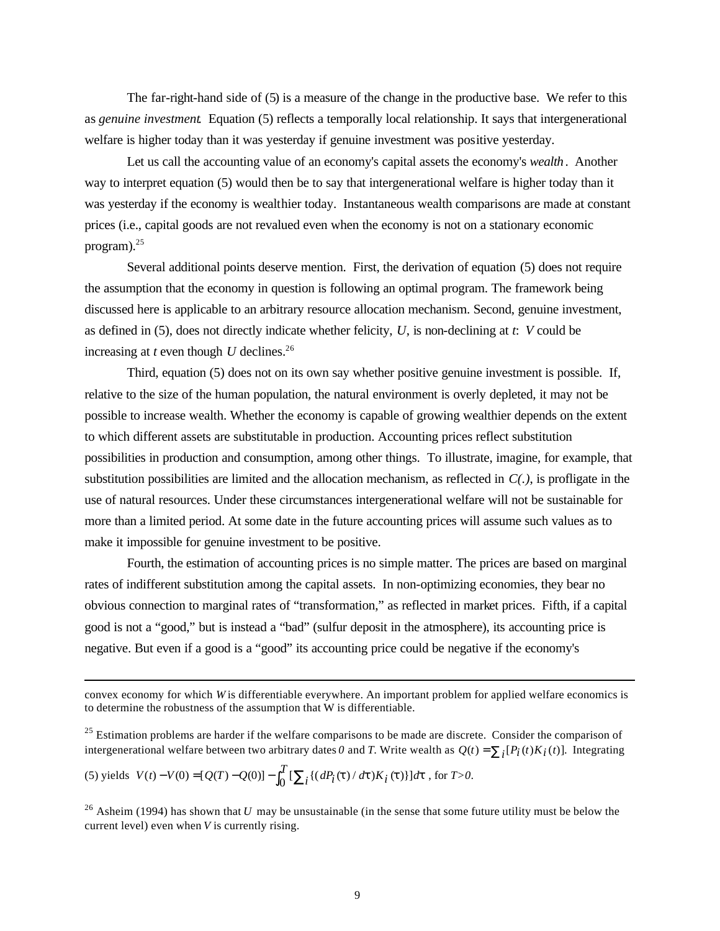The far-right-hand side of (5) is a measure of the change in the productive base. We refer to this as *genuine investment*. Equation (5) reflects a temporally local relationship. It says that intergenerational welfare is higher today than it was yesterday if genuine investment was positive yesterday.

Let us call the accounting value of an economy's capital assets the economy's *wealth*. Another way to interpret equation (5) would then be to say that intergenerational welfare is higher today than it was yesterday if the economy is wealthier today. Instantaneous wealth comparisons are made at constant prices (i.e., capital goods are not revalued even when the economy is not on a stationary economic program).<sup>25</sup>

Several additional points deserve mention. First, the derivation of equation (5) does not require the assumption that the economy in question is following an optimal program. The framework being discussed here is applicable to an arbitrary resource allocation mechanism. Second, genuine investment, as defined in (5), does not directly indicate whether felicity, *U*, is non-declining at *t*: *V* could be increasing at  $t$  even though  $U$  declines.<sup>26</sup>

Third, equation (5) does not on its own say whether positive genuine investment is possible. If, relative to the size of the human population, the natural environment is overly depleted, it may not be possible to increase wealth. Whether the economy is capable of growing wealthier depends on the extent to which different assets are substitutable in production. Accounting prices reflect substitution possibilities in production and consumption, among other things. To illustrate, imagine, for example, that substitution possibilities are limited and the allocation mechanism, as reflected in *C(.)*, is profligate in the use of natural resources. Under these circumstances intergenerational welfare will not be sustainable for more than a limited period. At some date in the future accounting prices will assume such values as to make it impossible for genuine investment to be positive.

Fourth, the estimation of accounting prices is no simple matter. The prices are based on marginal rates of indifferent substitution among the capital assets. In non-optimizing economies, they bear no obvious connection to marginal rates of "transformation," as reflected in market prices. Fifth, if a capital good is not a "good," but is instead a "bad" (sulfur deposit in the atmosphere), its accounting price is negative. But even if a good is a "good" its accounting price could be negative if the economy's

 $25$  Estimation problems are harder if the welfare comparisons to be made are discrete. Consider the comparison of intergenerational welfare between two arbitrary dates *0* and *T*. Write wealth as  $Q(t) = \sum_i [P_i(t)K_i(t)]$ . Integrating

(5) yields  $V(t) - V(0) = [Q(T) - Q(0)] - \int_0^T [\sum_i \{ (dP_i(t) / dt) K_i(t) \} ] dt$  $V(t) - V(0) = [Q(T) - Q(0)] - \int_0^T \left[ \sum_i \left\{ (dP_i(t) / dt) K_i(t) \right\} \right] dt$ , for *T*>0.

convex economy for which *W* is differentiable everywhere. An important problem for applied welfare economics is to determine the robustness of the assumption that W is differentiable.

<sup>&</sup>lt;sup>26</sup> Asheim (1994) has shown that *U* may be unsustainable (in the sense that some future utility must be below the current level) even when *V* is currently rising.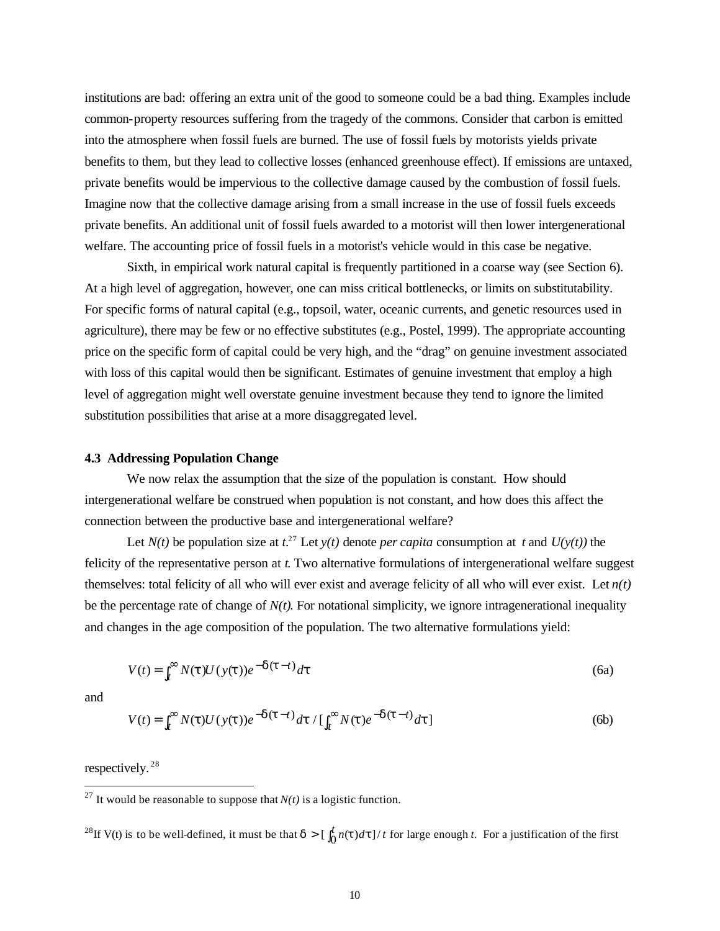institutions are bad: offering an extra unit of the good to someone could be a bad thing. Examples include common-property resources suffering from the tragedy of the commons. Consider that carbon is emitted into the atmosphere when fossil fuels are burned. The use of fossil fuels by motorists yields private benefits to them, but they lead to collective losses (enhanced greenhouse effect). If emissions are untaxed, private benefits would be impervious to the collective damage caused by the combustion of fossil fuels. Imagine now that the collective damage arising from a small increase in the use of fossil fuels exceeds private benefits. An additional unit of fossil fuels awarded to a motorist will then lower intergenerational welfare. The accounting price of fossil fuels in a motorist's vehicle would in this case be negative.

Sixth, in empirical work natural capital is frequently partitioned in a coarse way (see Section 6). At a high level of aggregation, however, one can miss critical bottlenecks, or limits on substitutability. For specific forms of natural capital (e.g., topsoil, water, oceanic currents, and genetic resources used in agriculture), there may be few or no effective substitutes (e.g., Postel, 1999). The appropriate accounting price on the specific form of capital could be very high, and the "drag" on genuine investment associated with loss of this capital would then be significant. Estimates of genuine investment that employ a high level of aggregation might well overstate genuine investment because they tend to ignore the limited substitution possibilities that arise at a more disaggregated level.

#### **4.3 Addressing Population Change**

We now relax the assumption that the size of the population is constant. How should intergenerational welfare be construed when population is not constant, and how does this affect the connection between the productive base and intergenerational welfare?

Let  $N(t)$  be population size at  $t^{27}$  Let  $y(t)$  denote *per capita* consumption at t and  $U(y(t))$  the felicity of the representative person at *t*. Two alternative formulations of intergenerational welfare suggest themselves: total felicity of all who will ever exist and average felicity of all who will ever exist. Let *n(t)* be the percentage rate of change of  $N(t)$ . For notational simplicity, we ignore intragenerational inequality and changes in the age composition of the population. The two alternative formulations yield:

$$
V(t) = \int_{t}^{\infty} N(t)U(y(t))e^{-dt}dt
$$
\n(6a)

and

 $\overline{a}$ 

$$
V(t) = \int_{t}^{\infty} N(t)U(y(t))e^{-d(t-t)}dt / \left[\int_{t}^{\infty} N(t)e^{-d(t-t)}dt\right]
$$
 (6b)

respectively.<sup>28</sup>

<sup>28</sup>If V(t) is to be well-defined, it must be that  $d > [$   $\int_0^t n(t) dt] / t$  for large enough *t*. For a justification of the first

<sup>&</sup>lt;sup>27</sup> It would be reasonable to suppose that  $N(t)$  is a logistic function.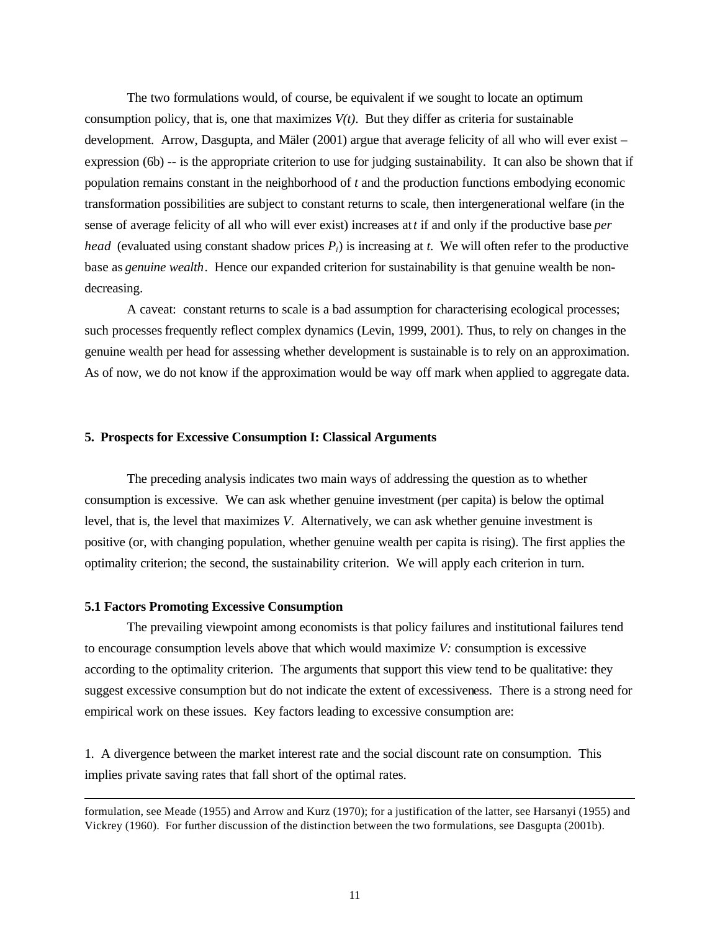The two formulations would, of course, be equivalent if we sought to locate an optimum consumption policy, that is, one that maximizes  $V(t)$ . But they differ as criteria for sustainable development. Arrow, Dasgupta, and Mäler (2001) argue that average felicity of all who will ever exist – expression (6b) -- is the appropriate criterion to use for judging sustainability. It can also be shown that if population remains constant in the neighborhood of *t* and the production functions embodying economic transformation possibilities are subject to constant returns to scale, then intergenerational welfare (in the sense of average felicity of all who will ever exist) increases at *t* if and only if the productive base *per head* (evaluated using constant shadow prices  $P_i$ ) is increasing at *t*. We will often refer to the productive base as *genuine wealth*. Hence our expanded criterion for sustainability is that genuine wealth be nondecreasing.

A caveat: constant returns to scale is a bad assumption for characterising ecological processes; such processes frequently reflect complex dynamics (Levin, 1999, 2001). Thus, to rely on changes in the genuine wealth per head for assessing whether development is sustainable is to rely on an approximation. As of now, we do not know if the approximation would be way off mark when applied to aggregate data.

#### **5. Prospects for Excessive Consumption I: Classical Arguments**

The preceding analysis indicates two main ways of addressing the question as to whether consumption is excessive. We can ask whether genuine investment (per capita) is below the optimal level, that is, the level that maximizes *V*. Alternatively, we can ask whether genuine investment is positive (or, with changing population, whether genuine wealth per capita is rising). The first applies the optimality criterion; the second, the sustainability criterion. We will apply each criterion in turn.

#### **5.1 Factors Promoting Excessive Consumption**

 $\overline{a}$ 

The prevailing viewpoint among economists is that policy failures and institutional failures tend to encourage consumption levels above that which would maximize *V:* consumption is excessive according to the optimality criterion. The arguments that support this view tend to be qualitative: they suggest excessive consumption but do not indicate the extent of excessiveness. There is a strong need for empirical work on these issues. Key factors leading to excessive consumption are:

1. A divergence between the market interest rate and the social discount rate on consumption. This implies private saving rates that fall short of the optimal rates.

formulation, see Meade (1955) and Arrow and Kurz (1970); for a justification of the latter, see Harsanyi (1955) and Vickrey (1960). For further discussion of the distinction between the two formulations, see Dasgupta (2001b).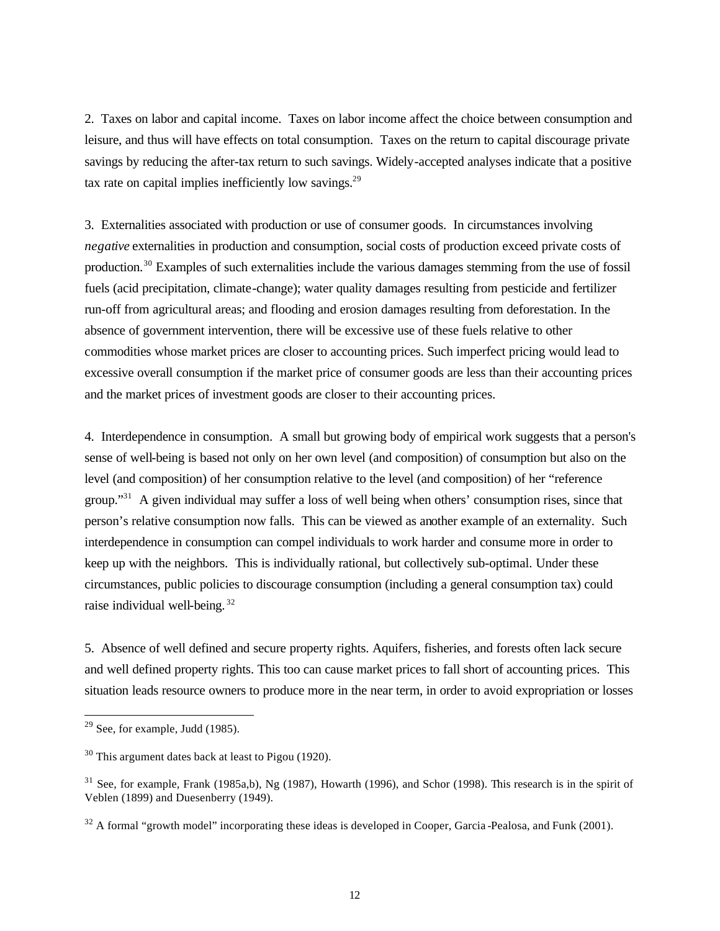2. Taxes on labor and capital income. Taxes on labor income affect the choice between consumption and leisure, and thus will have effects on total consumption. Taxes on the return to capital discourage private savings by reducing the after-tax return to such savings. Widely-accepted analyses indicate that a positive tax rate on capital implies inefficiently low savings. $29$ 

3. Externalities associated with production or use of consumer goods. In circumstances involving *negative* externalities in production and consumption, social costs of production exceed private costs of production.<sup>30</sup> Examples of such externalities include the various damages stemming from the use of fossil fuels (acid precipitation, climate-change); water quality damages resulting from pesticide and fertilizer run-off from agricultural areas; and flooding and erosion damages resulting from deforestation. In the absence of government intervention, there will be excessive use of these fuels relative to other commodities whose market prices are closer to accounting prices. Such imperfect pricing would lead to excessive overall consumption if the market price of consumer goods are less than their accounting prices and the market prices of investment goods are closer to their accounting prices.

4. Interdependence in consumption. A small but growing body of empirical work suggests that a person's sense of well-being is based not only on her own level (and composition) of consumption but also on the level (and composition) of her consumption relative to the level (and composition) of her "reference group."<sup>31</sup> A given individual may suffer a loss of well being when others' consumption rises, since that person's relative consumption now falls. This can be viewed as another example of an externality. Such interdependence in consumption can compel individuals to work harder and consume more in order to keep up with the neighbors. This is individually rational, but collectively sub-optimal. Under these circumstances, public policies to discourage consumption (including a general consumption tax) could raise individual well-being. <sup>32</sup>

5. Absence of well defined and secure property rights. Aquifers, fisheries, and forests often lack secure and well defined property rights. This too can cause market prices to fall short of accounting prices. This situation leads resource owners to produce more in the near term, in order to avoid expropriation or losses

 $29$  See, for example, Judd (1985).

<sup>30</sup> This argument dates back at least to Pigou (1920).

 $31$  See, for example, Frank (1985a,b), Ng (1987), Howarth (1996), and Schor (1998). This research is in the spirit of Veblen (1899) and Duesenberry (1949).

<sup>&</sup>lt;sup>32</sup> A formal "growth model" incorporating these ideas is developed in Cooper, Garcia -Pealosa, and Funk (2001).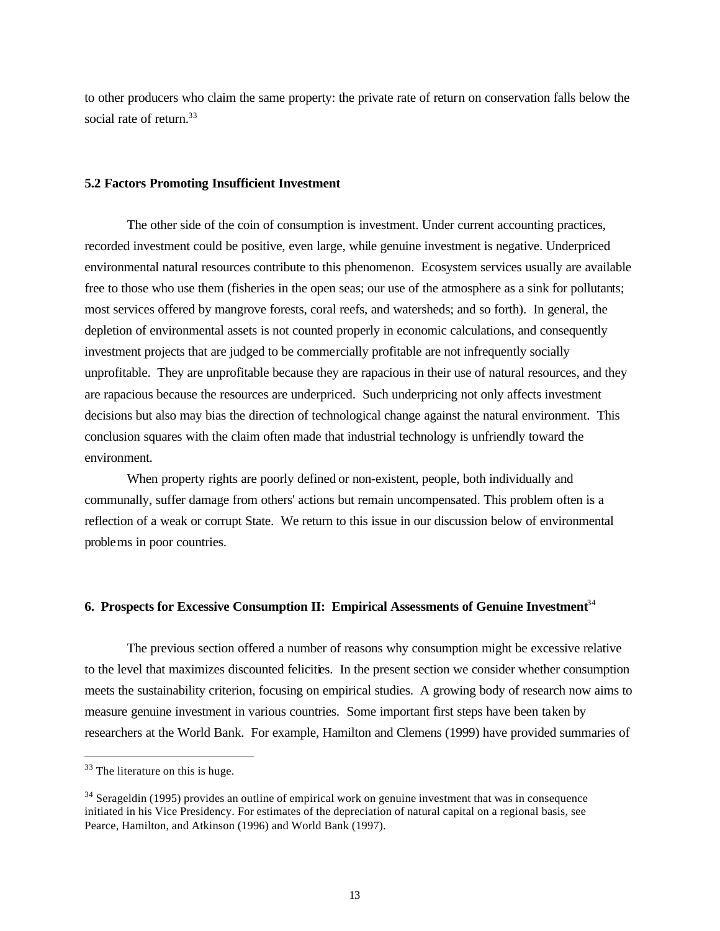to other producers who claim the same property: the private rate of return on conservation falls below the social rate of return.<sup>33</sup>

## **5.2 Factors Promoting Insufficient Investment**

The other side of the coin of consumption is investment. Under current accounting practices, recorded investment could be positive, even large, while genuine investment is negative. Underpriced environmental natural resources contribute to this phenomenon. Ecosystem services usually are available free to those who use them (fisheries in the open seas; our use of the atmosphere as a sink for pollutants; most services offered by mangrove forests, coral reefs, and watersheds; and so forth). In general, the depletion of environmental assets is not counted properly in economic calculations, and consequently investment projects that are judged to be commercially profitable are not infrequently socially unprofitable. They are unprofitable because they are rapacious in their use of natural resources, and they are rapacious because the resources are underpriced. Such underpricing not only affects investment decisions but also may bias the direction of technological change against the natural environment. This conclusion squares with the claim often made that industrial technology is unfriendly toward the environment.

When property rights are poorly defined or non-existent, people, both individually and communally, suffer damage from others' actions but remain uncompensated. This problem often is a reflection of a weak or corrupt State. We return to this issue in our discussion below of environmental problems in poor countries.

# **6. Prospects for Excessive Consumption II: Empirical Assessments of Genuine Investment**<sup>34</sup>

The previous section offered a number of reasons why consumption might be excessive relative to the level that maximizes discounted felicities. In the present section we consider whether consumption meets the sustainability criterion, focusing on empirical studies. A growing body of research now aims to measure genuine investment in various countries. Some important first steps have been taken by researchers at the World Bank. For example, Hamilton and Clemens (1999) have provided summaries of

<sup>&</sup>lt;sup>33</sup> The literature on this is huge.

<sup>&</sup>lt;sup>34</sup> Serageldin (1995) provides an outline of empirical work on genuine investment that was in consequence initiated in his Vice Presidency. For estimates of the depreciation of natural capital on a regional basis, see Pearce, Hamilton, and Atkinson (1996) and World Bank (1997).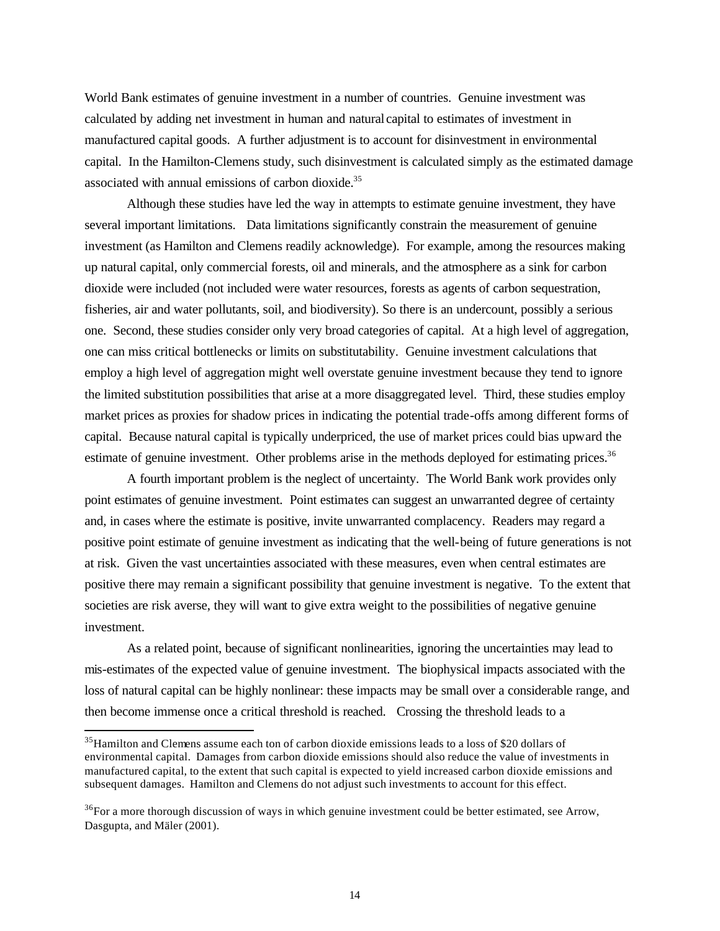World Bank estimates of genuine investment in a number of countries. Genuine investment was calculated by adding net investment in human and natural capital to estimates of investment in manufactured capital goods. A further adjustment is to account for disinvestment in environmental capital. In the Hamilton-Clemens study, such disinvestment is calculated simply as the estimated damage associated with annual emissions of carbon dioxide.<sup>35</sup>

Although these studies have led the way in attempts to estimate genuine investment, they have several important limitations. Data limitations significantly constrain the measurement of genuine investment (as Hamilton and Clemens readily acknowledge). For example, among the resources making up natural capital, only commercial forests, oil and minerals, and the atmosphere as a sink for carbon dioxide were included (not included were water resources, forests as agents of carbon sequestration, fisheries, air and water pollutants, soil, and biodiversity). So there is an undercount, possibly a serious one. Second, these studies consider only very broad categories of capital. At a high level of aggregation, one can miss critical bottlenecks or limits on substitutability. Genuine investment calculations that employ a high level of aggregation might well overstate genuine investment because they tend to ignore the limited substitution possibilities that arise at a more disaggregated level. Third, these studies employ market prices as proxies for shadow prices in indicating the potential trade-offs among different forms of capital. Because natural capital is typically underpriced, the use of market prices could bias upward the estimate of genuine investment. Other problems arise in the methods deployed for estimating prices.<sup>36</sup>

A fourth important problem is the neglect of uncertainty. The World Bank work provides only point estimates of genuine investment. Point estimates can suggest an unwarranted degree of certainty and, in cases where the estimate is positive, invite unwarranted complacency. Readers may regard a positive point estimate of genuine investment as indicating that the well-being of future generations is not at risk. Given the vast uncertainties associated with these measures, even when central estimates are positive there may remain a significant possibility that genuine investment is negative. To the extent that societies are risk averse, they will want to give extra weight to the possibilities of negative genuine investment.

As a related point, because of significant nonlinearities, ignoring the uncertainties may lead to mis-estimates of the expected value of genuine investment. The biophysical impacts associated with the loss of natural capital can be highly nonlinear: these impacts may be small over a considerable range, and then become immense once a critical threshold is reached. Crossing the threshold leads to a

<sup>&</sup>lt;sup>35</sup>Hamilton and Clemens assume each ton of carbon dioxide emissions leads to a loss of \$20 dollars of environmental capital. Damages from carbon dioxide emissions should also reduce the value of investments in manufactured capital, to the extent that such capital is expected to yield increased carbon dioxide emissions and subsequent damages. Hamilton and Clemens do not adjust such investments to account for this effect.

 $36$ For a more thorough discussion of ways in which genuine investment could be better estimated, see Arrow, Dasgupta, and Mäler (2001).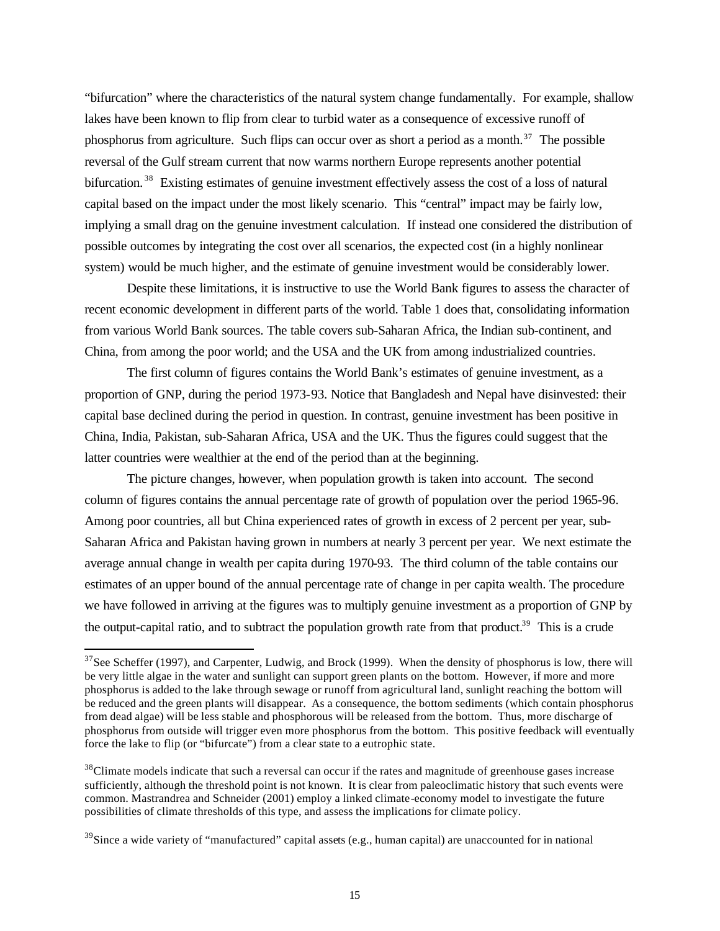"bifurcation" where the characteristics of the natural system change fundamentally. For example, shallow lakes have been known to flip from clear to turbid water as a consequence of excessive runoff of phosphorus from agriculture. Such flips can occur over as short a period as a month.<sup>37</sup> The possible reversal of the Gulf stream current that now warms northern Europe represents another potential bifurcation.<sup>38</sup> Existing estimates of genuine investment effectively assess the cost of a loss of natural capital based on the impact under the most likely scenario. This "central" impact may be fairly low, implying a small drag on the genuine investment calculation. If instead one considered the distribution of possible outcomes by integrating the cost over all scenarios, the expected cost (in a highly nonlinear system) would be much higher, and the estimate of genuine investment would be considerably lower.

Despite these limitations, it is instructive to use the World Bank figures to assess the character of recent economic development in different parts of the world. Table 1 does that, consolidating information from various World Bank sources. The table covers sub-Saharan Africa, the Indian sub-continent, and China, from among the poor world; and the USA and the UK from among industrialized countries.

The first column of figures contains the World Bank's estimates of genuine investment, as a proportion of GNP, during the period 1973-93. Notice that Bangladesh and Nepal have disinvested: their capital base declined during the period in question. In contrast, genuine investment has been positive in China, India, Pakistan, sub-Saharan Africa, USA and the UK. Thus the figures could suggest that the latter countries were wealthier at the end of the period than at the beginning.

The picture changes, however, when population growth is taken into account. The second column of figures contains the annual percentage rate of growth of population over the period 1965-96. Among poor countries, all but China experienced rates of growth in excess of 2 percent per year, sub-Saharan Africa and Pakistan having grown in numbers at nearly 3 percent per year. We next estimate the average annual change in wealth per capita during 1970-93. The third column of the table contains our estimates of an upper bound of the annual percentage rate of change in per capita wealth. The procedure we have followed in arriving at the figures was to multiply genuine investment as a proportion of GNP by the output-capital ratio, and to subtract the population growth rate from that product.<sup>39</sup> This is a crude

 $37$ See Scheffer (1997), and Carpenter, Ludwig, and Brock (1999). When the density of phosphorus is low, there will be very little algae in the water and sunlight can support green plants on the bottom. However, if more and more phosphorus is added to the lake through sewage or runoff from agricultural land, sunlight reaching the bottom will be reduced and the green plants will disappear. As a consequence, the bottom sediments (which contain phosphorus from dead algae) will be less stable and phosphorous will be released from the bottom. Thus, more discharge of phosphorus from outside will trigger even more phosphorus from the bottom. This positive feedback will eventually force the lake to flip (or "bifurcate") from a clear state to a eutrophic state.

<sup>&</sup>lt;sup>38</sup>Climate models indicate that such a reversal can occur if the rates and magnitude of greenhouse gases increase sufficiently, although the threshold point is not known. It is clear from paleoclimatic history that such events were common. Mastrandrea and Schneider (2001) employ a linked climate-economy model to investigate the future possibilities of climate thresholds of this type, and assess the implications for climate policy.

 $39\text{S}$  ince a wide variety of "manufactured" capital assets (e.g., human capital) are unaccounted for in national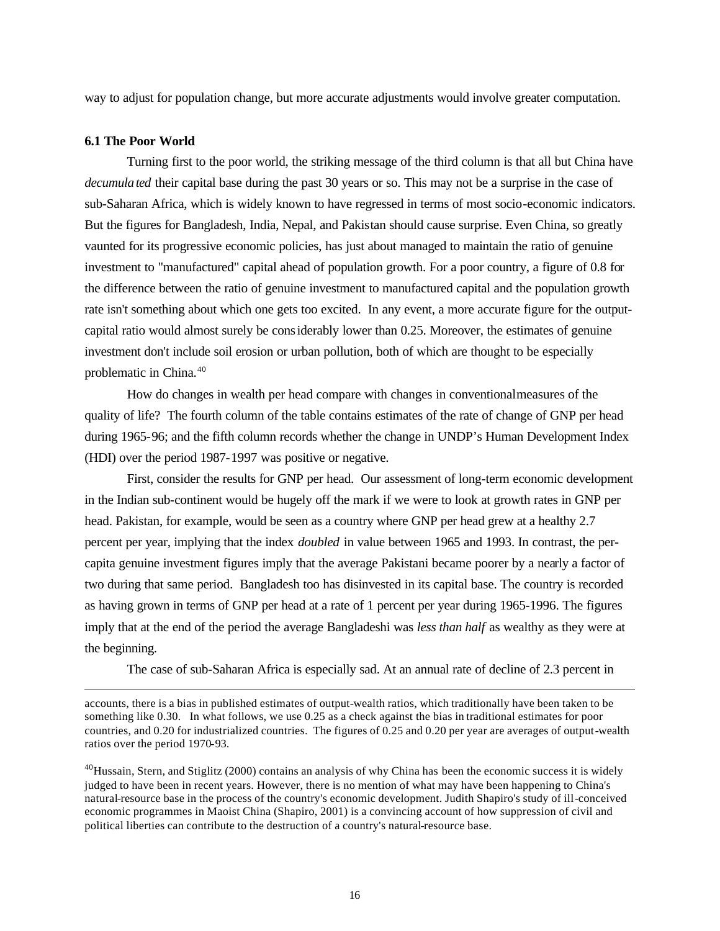way to adjust for population change, but more accurate adjustments would involve greater computation.

#### **6.1 The Poor World**

 $\overline{a}$ 

Turning first to the poor world, the striking message of the third column is that all but China have *decumulated* their capital base during the past 30 years or so. This may not be a surprise in the case of sub-Saharan Africa, which is widely known to have regressed in terms of most socio-economic indicators. But the figures for Bangladesh, India, Nepal, and Pakistan should cause surprise. Even China, so greatly vaunted for its progressive economic policies, has just about managed to maintain the ratio of genuine investment to "manufactured" capital ahead of population growth. For a poor country, a figure of 0.8 for the difference between the ratio of genuine investment to manufactured capital and the population growth rate isn't something about which one gets too excited. In any event, a more accurate figure for the outputcapital ratio would almost surely be considerably lower than 0.25. Moreover, the estimates of genuine investment don't include soil erosion or urban pollution, both of which are thought to be especially problematic in China.<sup>40</sup>

How do changes in wealth per head compare with changes in conventional measures of the quality of life? The fourth column of the table contains estimates of the rate of change of GNP per head during 1965-96; and the fifth column records whether the change in UNDP's Human Development Index (HDI) over the period 1987-1997 was positive or negative.

First, consider the results for GNP per head. Our assessment of long-term economic development in the Indian sub-continent would be hugely off the mark if we were to look at growth rates in GNP per head. Pakistan, for example, would be seen as a country where GNP per head grew at a healthy 2.7 percent per year, implying that the index *doubled* in value between 1965 and 1993. In contrast, the percapita genuine investment figures imply that the average Pakistani became poorer by a nearly a factor of two during that same period. Bangladesh too has disinvested in its capital base. The country is recorded as having grown in terms of GNP per head at a rate of 1 percent per year during 1965-1996. The figures imply that at the end of the period the average Bangladeshi was *less than half* as wealthy as they were at the beginning.

The case of sub-Saharan Africa is especially sad. At an annual rate of decline of 2.3 percent in

accounts, there is a bias in published estimates of output-wealth ratios, which traditionally have been taken to be something like 0.30. In what follows, we use 0.25 as a check against the bias in traditional estimates for poor countries, and 0.20 for industrialized countries. The figures of 0.25 and 0.20 per year are averages of output-wealth ratios over the period 1970-93.

 $^{40}$ Hussain, Stern, and Stiglitz (2000) contains an analysis of why China has been the economic success it is widely judged to have been in recent years. However, there is no mention of what may have been happening to China's natural-resource base in the process of the country's economic development. Judith Shapiro's study of ill-conceived economic programmes in Maoist China (Shapiro, 2001) is a convincing account of how suppression of civil and political liberties can contribute to the destruction of a country's natural-resource base.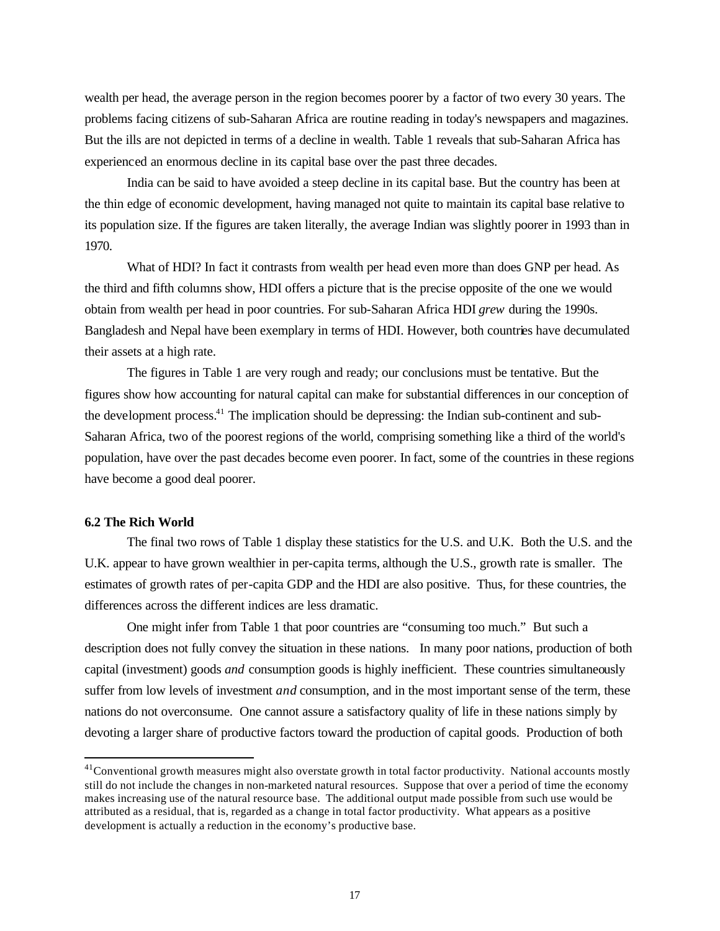wealth per head, the average person in the region becomes poorer by a factor of two every 30 years. The problems facing citizens of sub-Saharan Africa are routine reading in today's newspapers and magazines. But the ills are not depicted in terms of a decline in wealth. Table 1 reveals that sub-Saharan Africa has experienced an enormous decline in its capital base over the past three decades.

India can be said to have avoided a steep decline in its capital base. But the country has been at the thin edge of economic development, having managed not quite to maintain its capital base relative to its population size. If the figures are taken literally, the average Indian was slightly poorer in 1993 than in 1970.

What of HDI? In fact it contrasts from wealth per head even more than does GNP per head. As the third and fifth columns show, HDI offers a picture that is the precise opposite of the one we would obtain from wealth per head in poor countries. For sub-Saharan Africa HDI *grew* during the 1990s. Bangladesh and Nepal have been exemplary in terms of HDI. However, both countries have decumulated their assets at a high rate.

The figures in Table 1 are very rough and ready; our conclusions must be tentative. But the figures show how accounting for natural capital can make for substantial differences in our conception of the development process.<sup>41</sup> The implication should be depressing: the Indian sub-continent and sub-Saharan Africa, two of the poorest regions of the world, comprising something like a third of the world's population, have over the past decades become even poorer. In fact, some of the countries in these regions have become a good deal poorer.

#### **6.2 The Rich World**

 $\overline{a}$ 

The final two rows of Table 1 display these statistics for the U.S. and U.K. Both the U.S. and the U.K. appear to have grown wealthier in per-capita terms, although the U.S., growth rate is smaller. The estimates of growth rates of per-capita GDP and the HDI are also positive. Thus, for these countries, the differences across the different indices are less dramatic.

One might infer from Table 1 that poor countries are "consuming too much." But such a description does not fully convey the situation in these nations. In many poor nations, production of both capital (investment) goods *and* consumption goods is highly inefficient. These countries simultaneously suffer from low levels of investment *and* consumption, and in the most important sense of the term, these nations do not overconsume. One cannot assure a satisfactory quality of life in these nations simply by devoting a larger share of productive factors toward the production of capital goods. Production of both

<sup>&</sup>lt;sup>41</sup>Conventional growth measures might also overstate growth in total factor productivity. National accounts mostly still do not include the changes in non-marketed natural resources. Suppose that over a period of time the economy makes increasing use of the natural resource base. The additional output made possible from such use would be attributed as a residual, that is, regarded as a change in total factor productivity. What appears as a positive development is actually a reduction in the economy's productive base.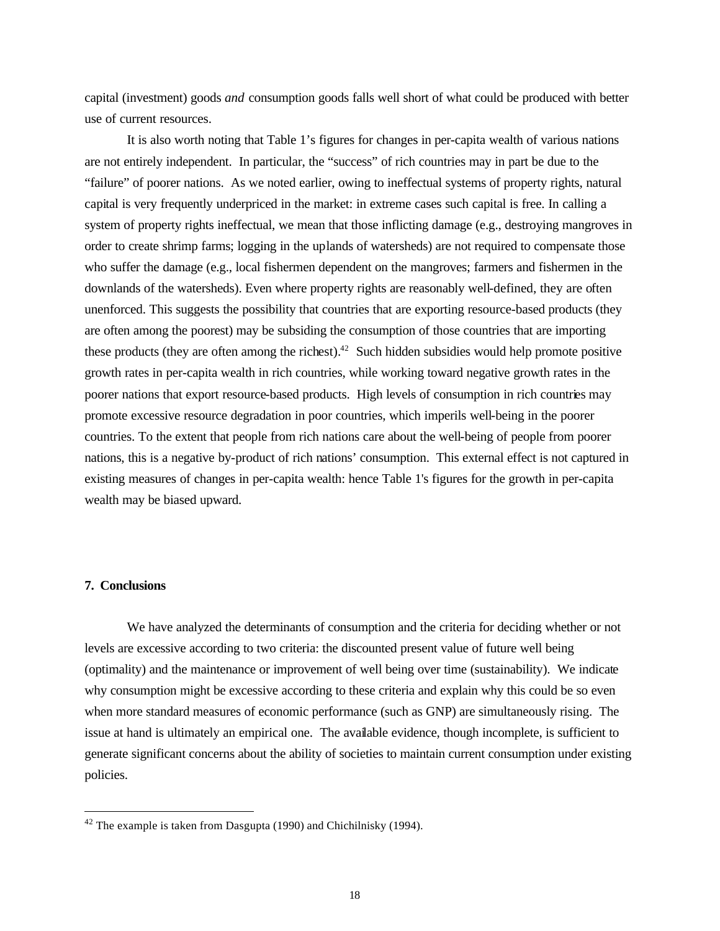capital (investment) goods *and* consumption goods falls well short of what could be produced with better use of current resources.

It is also worth noting that Table 1's figures for changes in per-capita wealth of various nations are not entirely independent. In particular, the "success" of rich countries may in part be due to the "failure" of poorer nations. As we noted earlier, owing to ineffectual systems of property rights, natural capital is very frequently underpriced in the market: in extreme cases such capital is free. In calling a system of property rights ineffectual, we mean that those inflicting damage (e.g., destroying mangroves in order to create shrimp farms; logging in the uplands of watersheds) are not required to compensate those who suffer the damage (e.g., local fishermen dependent on the mangroves; farmers and fishermen in the downlands of the watersheds). Even where property rights are reasonably well-defined, they are often unenforced. This suggests the possibility that countries that are exporting resource-based products (they are often among the poorest) may be subsiding the consumption of those countries that are importing these products (they are often among the richest).<sup>42</sup> Such hidden subsidies would help promote positive growth rates in per-capita wealth in rich countries, while working toward negative growth rates in the poorer nations that export resource-based products. High levels of consumption in rich countries may promote excessive resource degradation in poor countries, which imperils well-being in the poorer countries. To the extent that people from rich nations care about the well-being of people from poorer nations, this is a negative by-product of rich nations' consumption. This external effect is not captured in existing measures of changes in per-capita wealth: hence Table 1's figures for the growth in per-capita wealth may be biased upward.

#### **7. Conclusions**

 $\overline{a}$ 

We have analyzed the determinants of consumption and the criteria for deciding whether or not levels are excessive according to two criteria: the discounted present value of future well being (optimality) and the maintenance or improvement of well being over time (sustainability). We indicate why consumption might be excessive according to these criteria and explain why this could be so even when more standard measures of economic performance (such as GNP) are simultaneously rising. The issue at hand is ultimately an empirical one. The available evidence, though incomplete, is sufficient to generate significant concerns about the ability of societies to maintain current consumption under existing policies.

 $42$  The example is taken from Dasgupta (1990) and Chichilnisky (1994).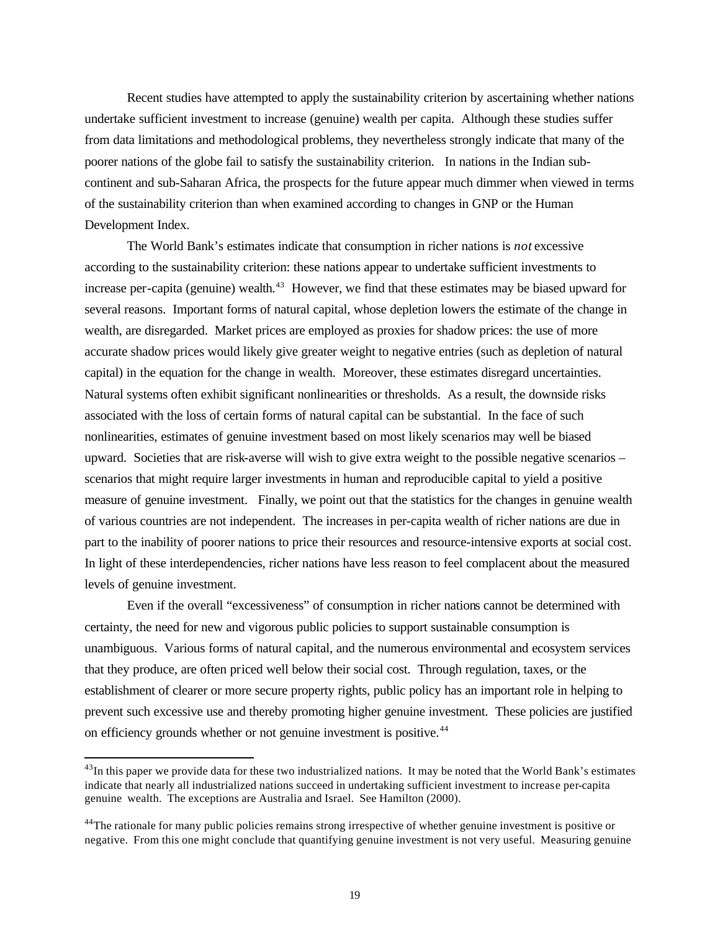Recent studies have attempted to apply the sustainability criterion by ascertaining whether nations undertake sufficient investment to increase (genuine) wealth per capita. Although these studies suffer from data limitations and methodological problems, they nevertheless strongly indicate that many of the poorer nations of the globe fail to satisfy the sustainability criterion. In nations in the Indian subcontinent and sub-Saharan Africa, the prospects for the future appear much dimmer when viewed in terms of the sustainability criterion than when examined according to changes in GNP or the Human Development Index.

The World Bank's estimates indicate that consumption in richer nations is *not* excessive according to the sustainability criterion: these nations appear to undertake sufficient investments to increase per-capita (genuine) wealth.<sup>43</sup> However, we find that these estimates may be biased upward for several reasons. Important forms of natural capital, whose depletion lowers the estimate of the change in wealth, are disregarded. Market prices are employed as proxies for shadow prices: the use of more accurate shadow prices would likely give greater weight to negative entries (such as depletion of natural capital) in the equation for the change in wealth. Moreover, these estimates disregard uncertainties. Natural systems often exhibit significant nonlinearities or thresholds. As a result, the downside risks associated with the loss of certain forms of natural capital can be substantial. In the face of such nonlinearities, estimates of genuine investment based on most likely scenarios may well be biased upward. Societies that are risk-averse will wish to give extra weight to the possible negative scenarios – scenarios that might require larger investments in human and reproducible capital to yield a positive measure of genuine investment. Finally, we point out that the statistics for the changes in genuine wealth of various countries are not independent. The increases in per-capita wealth of richer nations are due in part to the inability of poorer nations to price their resources and resource-intensive exports at social cost. In light of these interdependencies, richer nations have less reason to feel complacent about the measured levels of genuine investment.

Even if the overall "excessiveness" of consumption in richer nations cannot be determined with certainty, the need for new and vigorous public policies to support sustainable consumption is unambiguous. Various forms of natural capital, and the numerous environmental and ecosystem services that they produce, are often priced well below their social cost. Through regulation, taxes, or the establishment of clearer or more secure property rights, public policy has an important role in helping to prevent such excessive use and thereby promoting higher genuine investment. These policies are justified on efficiency grounds whether or not genuine investment is positive.<sup>44</sup>

 $43$ In this paper we provide data for these two industrialized nations. It may be noted that the World Bank's estimates indicate that nearly all industrialized nations succeed in undertaking sufficient investment to increase per-capita genuine wealth. The exceptions are Australia and Israel. See Hamilton (2000).

<sup>&</sup>lt;sup>44</sup>The rationale for many public policies remains strong irrespective of whether genuine investment is positive or negative. From this one might conclude that quantifying genuine investment is not very useful. Measuring genuine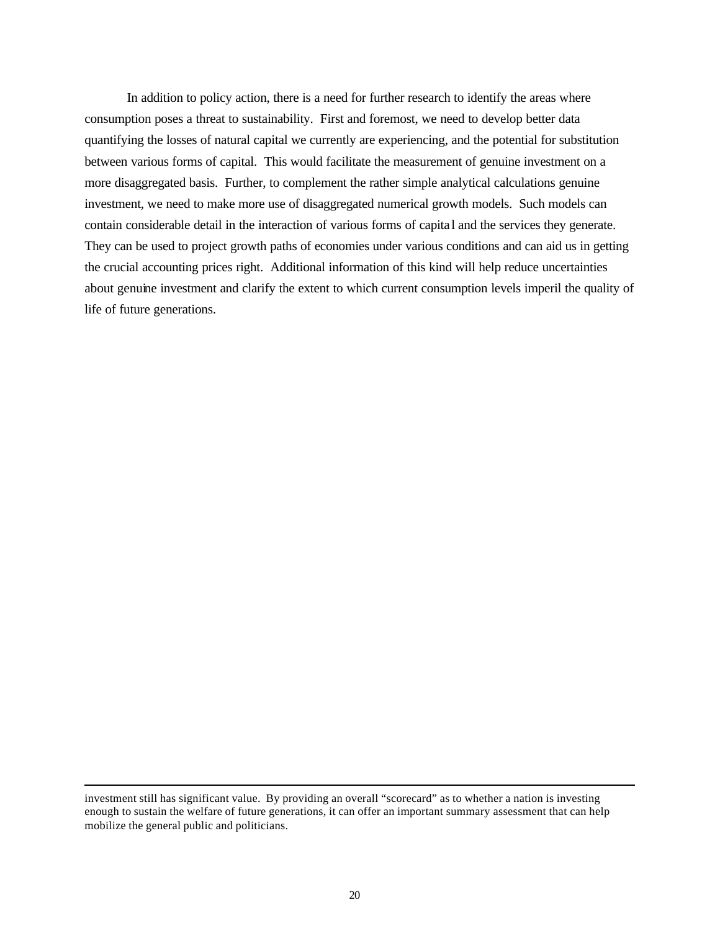In addition to policy action, there is a need for further research to identify the areas where consumption poses a threat to sustainability. First and foremost, we need to develop better data quantifying the losses of natural capital we currently are experiencing, and the potential for substitution between various forms of capital. This would facilitate the measurement of genuine investment on a more disaggregated basis. Further, to complement the rather simple analytical calculations genuine investment, we need to make more use of disaggregated numerical growth models. Such models can contain considerable detail in the interaction of various forms of capita l and the services they generate. They can be used to project growth paths of economies under various conditions and can aid us in getting the crucial accounting prices right. Additional information of this kind will help reduce uncertainties about genuine investment and clarify the extent to which current consumption levels imperil the quality of life of future generations.

investment still has significant value. By providing an overall "scorecard" as to whether a nation is investing enough to sustain the welfare of future generations, it can offer an important summary assessment that can help mobilize the general public and politicians.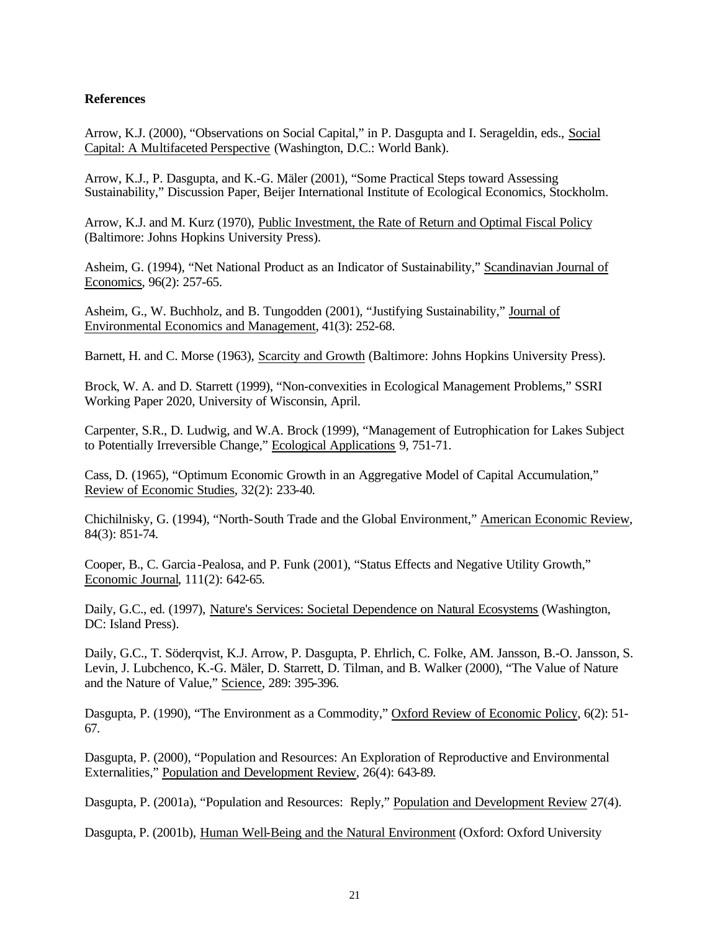# **References**

Arrow, K.J. (2000), "Observations on Social Capital," in P. Dasgupta and I. Serageldin, eds., Social Capital: A Multifaceted Perspective (Washington, D.C.: World Bank).

Arrow, K.J., P. Dasgupta, and K.-G. Mäler (2001), "Some Practical Steps toward Assessing Sustainability," Discussion Paper, Beijer International Institute of Ecological Economics, Stockholm.

Arrow, K.J. and M. Kurz (1970), Public Investment, the Rate of Return and Optimal Fiscal Policy (Baltimore: Johns Hopkins University Press).

Asheim, G. (1994), "Net National Product as an Indicator of Sustainability," Scandinavian Journal of Economics, 96(2): 257-65.

Asheim, G., W. Buchholz, and B. Tungodden (2001), "Justifying Sustainability," Journal of Environmental Economics and Management, 41(3): 252-68.

Barnett, H. and C. Morse (1963), Scarcity and Growth (Baltimore: Johns Hopkins University Press).

Brock, W. A. and D. Starrett (1999), "Non-convexities in Ecological Management Problems," SSRI Working Paper 2020, University of Wisconsin, April.

Carpenter, S.R., D. Ludwig, and W.A. Brock (1999), "Management of Eutrophication for Lakes Subject to Potentially Irreversible Change," Ecological Applications 9, 751-71.

Cass, D. (1965), "Optimum Economic Growth in an Aggregative Model of Capital Accumulation," Review of Economic Studies, 32(2): 233-40.

Chichilnisky, G. (1994), "North-South Trade and the Global Environment," American Economic Review, 84(3): 851-74.

Cooper, B., C. Garcia -Pealosa, and P. Funk (2001), "Status Effects and Negative Utility Growth," Economic Journal, 111(2): 642-65.

Daily, G.C., ed. (1997), Nature's Services: Societal Dependence on Natural Ecosystems (Washington, DC: Island Press).

Daily, G.C., T. Söderqvist, K.J. Arrow, P. Dasgupta, P. Ehrlich, C. Folke, AM. Jansson, B.-O. Jansson, S. Levin, J. Lubchenco, K.-G. Mäler, D. Starrett, D. Tilman, and B. Walker (2000), "The Value of Nature and the Nature of Value," Science, 289: 395-396.

Dasgupta, P. (1990), "The Environment as a Commodity," Oxford Review of Economic Policy, 6(2): 51- 67.

Dasgupta, P. (2000), "Population and Resources: An Exploration of Reproductive and Environmental Externalities," Population and Development Review, 26(4): 643-89.

Dasgupta, P. (2001a), "Population and Resources: Reply," Population and Development Review 27(4).

Dasgupta, P. (2001b), Human Well-Being and the Natural Environment (Oxford: Oxford University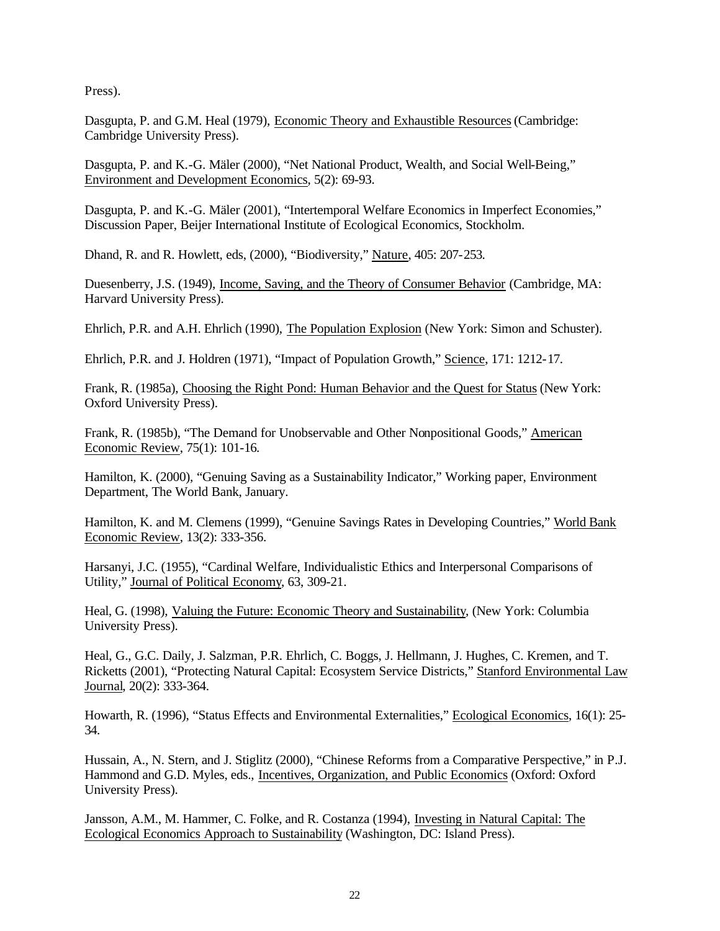Press).

Dasgupta, P. and G.M. Heal (1979), Economic Theory and Exhaustible Resources (Cambridge: Cambridge University Press).

Dasgupta, P. and K.-G. Mäler (2000), "Net National Product, Wealth, and Social Well-Being," Environment and Development Economics, 5(2): 69-93.

Dasgupta, P. and K.-G. Mäler (2001), "Intertemporal Welfare Economics in Imperfect Economies," Discussion Paper, Beijer International Institute of Ecological Economics, Stockholm.

Dhand, R. and R. Howlett, eds, (2000), "Biodiversity," Nature, 405: 207-253.

Duesenberry, J.S. (1949), Income, Saving, and the Theory of Consumer Behavior (Cambridge, MA: Harvard University Press).

Ehrlich, P.R. and A.H. Ehrlich (1990), The Population Explosion (New York: Simon and Schuster).

Ehrlich, P.R. and J. Holdren (1971), "Impact of Population Growth," Science, 171: 1212-17.

Frank, R. (1985a), Choosing the Right Pond: Human Behavior and the Quest for Status (New York: Oxford University Press).

Frank, R. (1985b), "The Demand for Unobservable and Other Nonpositional Goods," American Economic Review, 75(1): 101-16.

Hamilton, K. (2000), "Genuing Saving as a Sustainability Indicator," Working paper, Environment Department, The World Bank, January.

Hamilton, K. and M. Clemens (1999), "Genuine Savings Rates in Developing Countries," World Bank Economic Review, 13(2): 333-356.

Harsanyi, J.C. (1955), "Cardinal Welfare, Individualistic Ethics and Interpersonal Comparisons of Utility," Journal of Political Economy, 63, 309-21.

Heal, G. (1998), Valuing the Future: Economic Theory and Sustainability, (New York: Columbia University Press).

Heal, G., G.C. Daily, J. Salzman, P.R. Ehrlich, C. Boggs, J. Hellmann, J. Hughes, C. Kremen, and T. Ricketts (2001), "Protecting Natural Capital: Ecosystem Service Districts," Stanford Environmental Law Journal, 20(2): 333-364.

Howarth, R. (1996), "Status Effects and Environmental Externalities," Ecological Economics, 16(1): 25- 34.

Hussain, A., N. Stern, and J. Stiglitz (2000), "Chinese Reforms from a Comparative Perspective," in P.J. Hammond and G.D. Myles, eds., Incentives, Organization, and Public Economics (Oxford: Oxford University Press).

Jansson, A.M., M. Hammer, C. Folke, and R. Costanza (1994), Investing in Natural Capital: The Ecological Economics Approach to Sustainability (Washington, DC: Island Press).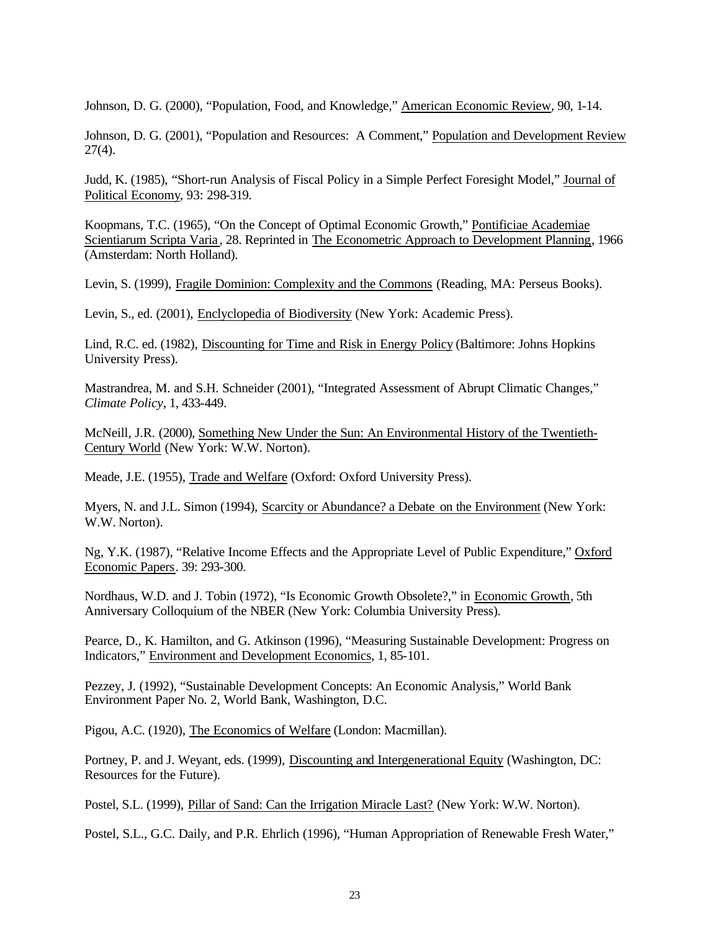Johnson, D. G. (2000), "Population, Food, and Knowledge," American Economic Review, 90, 1-14.

Johnson, D. G. (2001), "Population and Resources: A Comment," Population and Development Review  $27(4)$ .

Judd, K. (1985), "Short-run Analysis of Fiscal Policy in a Simple Perfect Foresight Model," Journal of Political Economy, 93: 298-319.

Koopmans, T.C. (1965), "On the Concept of Optimal Economic Growth," Pontificiae Academiae Scientiarum Scripta Varia , 28. Reprinted in The Econometric Approach to Development Planning, 1966 (Amsterdam: North Holland).

Levin, S. (1999), Fragile Dominion: Complexity and the Commons (Reading, MA: Perseus Books).

Levin, S., ed. (2001), Enclyclopedia of Biodiversity (New York: Academic Press).

Lind, R.C. ed. (1982), Discounting for Time and Risk in Energy Policy (Baltimore: Johns Hopkins University Press).

Mastrandrea, M. and S.H. Schneider (2001), "Integrated Assessment of Abrupt Climatic Changes," *Climate Policy*, 1, 433-449.

McNeill, J.R. (2000), Something New Under the Sun: An Environmental History of the Twentieth-Century World (New York: W.W. Norton).

Meade, J.E. (1955), Trade and Welfare (Oxford: Oxford University Press).

Myers, N. and J.L. Simon (1994), Scarcity or Abundance? a Debate on the Environment (New York: W.W. Norton).

Ng, Y.K. (1987), "Relative Income Effects and the Appropriate Level of Public Expenditure," Oxford Economic Papers. 39: 293-300.

Nordhaus, W.D. and J. Tobin (1972), "Is Economic Growth Obsolete?," in Economic Growth, 5th Anniversary Colloquium of the NBER (New York: Columbia University Press).

Pearce, D., K. Hamilton, and G. Atkinson (1996), "Measuring Sustainable Development: Progress on Indicators," Environment and Development Economics, 1, 85-101.

Pezzey, J. (1992), "Sustainable Development Concepts: An Economic Analysis," World Bank Environment Paper No. 2, World Bank, Washington, D.C.

Pigou, A.C. (1920), The Economics of Welfare (London: Macmillan).

Portney, P. and J. Weyant, eds. (1999), Discounting and Intergenerational Equity (Washington, DC: Resources for the Future).

Postel, S.L. (1999), Pillar of Sand: Can the Irrigation Miracle Last? (New York: W.W. Norton).

Postel, S.L., G.C. Daily, and P.R. Ehrlich (1996), "Human Appropriation of Renewable Fresh Water,"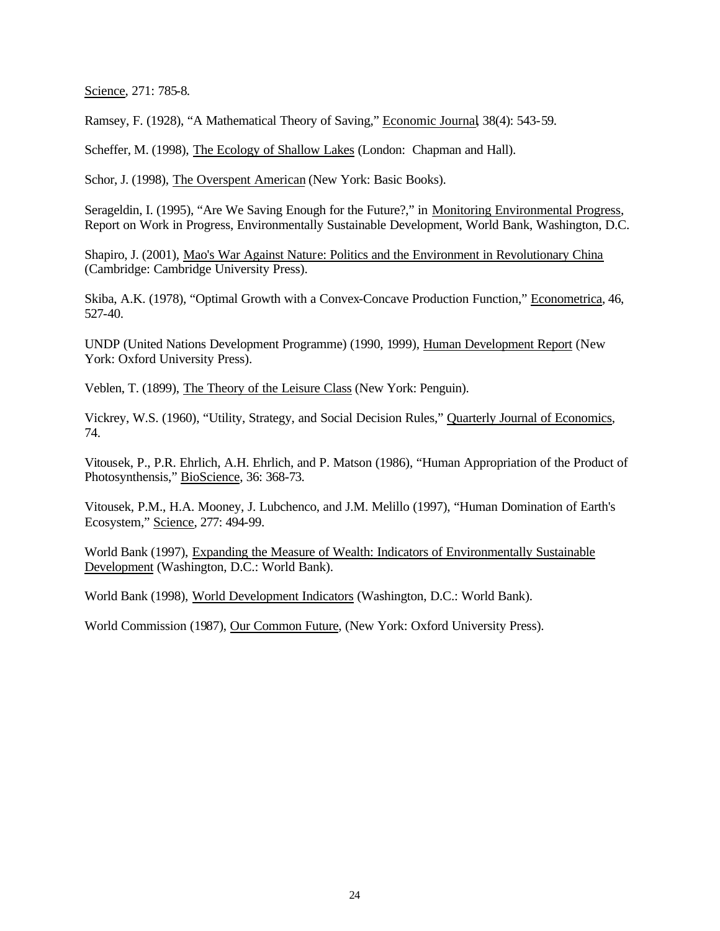Science, 271: 785-8.

Ramsey, F. (1928), "A Mathematical Theory of Saving," Economic Journal, 38(4): 543-59.

Scheffer, M. (1998), The Ecology of Shallow Lakes (London: Chapman and Hall).

Schor, J. (1998), The Overspent American (New York: Basic Books).

Serageldin, I. (1995), "Are We Saving Enough for the Future?," in Monitoring Environmental Progress, Report on Work in Progress, Environmentally Sustainable Development, World Bank, Washington, D.C.

Shapiro, J. (2001), Mao's War Against Nature: Politics and the Environment in Revolutionary China (Cambridge: Cambridge University Press).

Skiba, A.K. (1978), "Optimal Growth with a Convex-Concave Production Function," Econometrica, 46, 527-40.

UNDP (United Nations Development Programme) (1990, 1999), Human Development Report (New York: Oxford University Press).

Veblen, T. (1899), The Theory of the Leisure Class (New York: Penguin).

Vickrey, W.S. (1960), "Utility, Strategy, and Social Decision Rules," Quarterly Journal of Economics, 74.

Vitousek, P., P.R. Ehrlich, A.H. Ehrlich, and P. Matson (1986), "Human Appropriation of the Product of Photosynthensis," BioScience, 36: 368-73.

Vitousek, P.M., H.A. Mooney, J. Lubchenco, and J.M. Melillo (1997), "Human Domination of Earth's Ecosystem," Science, 277: 494-99.

World Bank (1997), Expanding the Measure of Wealth: Indicators of Environmentally Sustainable Development (Washington, D.C.: World Bank).

World Bank (1998), World Development Indicators (Washington, D.C.: World Bank).

World Commission (1987), Our Common Future, (New York: Oxford University Press).